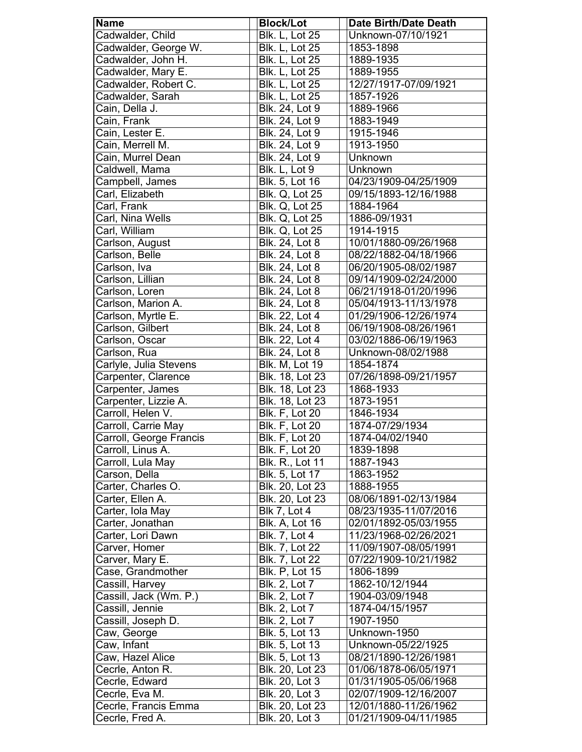| <b>Name</b>             | <b>Block/Lot</b>       | <b>Date Birth/Date Death</b> |
|-------------------------|------------------------|------------------------------|
| Cadwalder, Child        | <b>Blk. L, Lot 25</b>  | Unknown-07/10/1921           |
| Cadwalder, George W.    | <b>Blk. L, Lot 25</b>  | 1853-1898                    |
| Cadwalder, John H.      | <b>Blk. L, Lot 25</b>  | 1889-1935                    |
| Cadwalder, Mary E.      | <b>Blk. L, Lot 25</b>  | 1889-1955                    |
| Cadwalder, Robert C.    | <b>Blk. L, Lot 25</b>  | 12/27/1917-07/09/1921        |
| Cadwalder, Sarah        | Blk. L, Lot 25         | 1857-1926                    |
| Cain, Della J.          | Blk. 24, Lot 9         | 1889-1966                    |
| Cain, Frank             | Blk. 24, Lot 9         | 1883-1949                    |
| Cain, Lester E.         | Blk. 24, Lot 9         | 1915-1946                    |
| Cain, Merrell M.        | Blk. 24, Lot 9         | 1913-1950                    |
| Cain, Murrel Dean       |                        |                              |
|                         | Blk. 24, Lot 9         | Unknown                      |
| Caldwell, Mama          | Blk. L, Lot 9          | Unknown                      |
| Campbell, James         | Blk. 5, Lot 16         | 04/23/1909-04/25/1909        |
| Carl, Elizabeth         | <b>Blk. Q, Lot 25</b>  | 09/15/1893-12/16/1988        |
| Carl, Frank             | Blk. Q, Lot 25         | 1884-1964                    |
| Carl, Nina Wells        | <b>Blk. Q, Lot 25</b>  | 1886-09/1931                 |
| Carl, William           | <b>Blk. Q, Lot 25</b>  | 1914-1915                    |
| Carlson, August         | Blk. 24, Lot 8         | 10/01/1880-09/26/1968        |
| Carlson, Belle          | Blk. 24, Lot 8         | 08/22/1882-04/18/1966        |
| Carlson, Iva            | Blk. 24, Lot 8         | 06/20/1905-08/02/1987        |
| Carlson, Lillian        | Blk. 24, Lot 8         | 09/14/1909-02/24/2000        |
| Carlson, Loren          | Blk. 24, Lot 8         | 06/21/1918-01/20/1996        |
| Carlson, Marion A.      | Blk. 24, Lot 8         | 05/04/1913-11/13/1978        |
| Carlson, Myrtle E.      | Blk. 22, Lot 4         | 01/29/1906-12/26/1974        |
| Carlson, Gilbert        | Blk. 24, Lot 8         | 06/19/1908-08/26/1961        |
| Carlson, Oscar          | Blk. 22, Lot 4         | 03/02/1886-06/19/1963        |
| Carlson, Rua            | Blk. 24, Lot 8         | Unknown-08/02/1988           |
| Carlyle, Julia Stevens  | <b>Blk. M, Lot 19</b>  | 1854-1874                    |
| Carpenter, Clarence     | Blk. 18, Lot 23        | 07/26/1898-09/21/1957        |
| Carpenter, James        | <b>Blk. 18, Lot 23</b> | 1868-1933                    |
| Carpenter, Lizzie A.    | Blk. 18, Lot 23        | 1873-1951                    |
| Carroll, Helen V.       | <b>Blk. F, Lot 20</b>  | 1846-1934                    |
| Carroll, Carrie May     | <b>Blk. F, Lot 20</b>  | 1874-07/29/1934              |
| Carroll, George Francis | Blk. F, Lot 20         | 1874-04/02/1940              |
| Carroll, Linus A.       | <b>Blk. F, Lot 20</b>  | 1839-1898                    |
| Carroll, Lula May       | Blk. R., Lot 11        | 1887-1943                    |
| Carson, Della           | Blk. 5, Lot 17         | 1863-1952                    |
| Carter, Charles O.      | Blk. 20, Lot 23        | 1888-1955                    |
| Carter, Ellen A.        | Blk. 20, Lot 23        | 08/06/1891-02/13/1984        |
| Carter, Iola May        | Blk 7, Lot 4           | 08/23/1935-11/07/2016        |
| Carter, Jonathan        | <b>Blk. A, Lot 16</b>  | 02/01/1892-05/03/1955        |
| Carter, Lori Dawn       | <b>Blk. 7, Lot 4</b>   | 11/23/1968-02/26/2021        |
| Carver, Homer           | Blk. 7, Lot 22         | 11/09/1907-08/05/1991        |
| Carver, Mary E.         | Blk. 7, Lot 22         | 07/22/1909-10/21/1982        |
| Case, Grandmother       | <b>Blk. P, Lot 15</b>  | 1806-1899                    |
| Cassill, Harvey         | <b>Blk. 2, Lot 7</b>   | 1862-10/12/1944              |
| Cassill, Jack (Wm. P.)  | Blk. 2, Lot 7          | 1904-03/09/1948              |
| Cassill, Jennie         | Blk. 2, Lot 7          | 1874-04/15/1957              |
| Cassill, Joseph D.      | Blk. 2, Lot 7          | 1907-1950                    |
| Caw, George             | Blk. 5, Lot 13         | Unknown-1950                 |
| Caw, Infant             | Blk. 5, Lot 13         | Unknown-05/22/1925           |
| Caw, Hazel Alice        | Blk. 5, Lot 13         | 08/21/1890-12/26/1981        |
| Cecrle, Anton R.        | Blk. 20, Lot 23        | 01/06/1878-06/05/1971        |
| Cecrle, Edward          | Blk. 20, Lot 3         | 01/31/1905-05/06/1968        |
| Cecrle, Eva M.          | Blk. 20, Lot 3         | 02/07/1909-12/16/2007        |
| Cecrle, Francis Emma    | Blk. 20, Lot 23        | 12/01/1880-11/26/1962        |
| Cecrle, Fred A.         | Blk. 20, Lot 3         | 01/21/1909-04/11/1985        |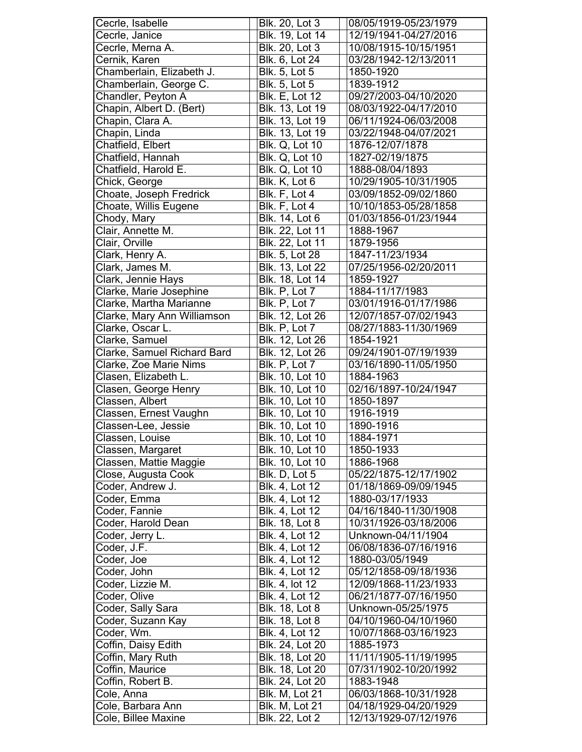| Cecrle, Isabelle            | Blk. 20, Lot 3         | 08/05/1919-05/23/1979 |
|-----------------------------|------------------------|-----------------------|
| Cecrle, Janice              | Blk. 19, Lot 14        | 12/19/1941-04/27/2016 |
| Cecrle, Merna A.            | Blk. 20, Lot 3         | 10/08/1915-10/15/1951 |
| Cernik, Karen               | Blk. 6, Lot 24         | 03/28/1942-12/13/2011 |
| Chamberlain, Elizabeth J.   | <b>Blk. 5, Lot 5</b>   | 1850-1920             |
| Chamberlain, George C.      | <b>Blk. 5, Lot 5</b>   | 1839-1912             |
| Chandler, Peyton A          | <b>Blk. E, Lot 12</b>  | 09/27/2003-04/10/2020 |
| Chapin, Albert D. (Bert)    | Blk. 13, Lot 19        | 08/03/1922-04/17/2010 |
| Chapin, Clara A.            | Blk. 13, Lot 19        | 06/11/1924-06/03/2008 |
| Chapin, Linda               | <b>Blk. 13, Lot 19</b> | 03/22/1948-04/07/2021 |
| Chatfield, Elbert           | <b>Blk. Q, Lot 10</b>  | 1876-12/07/1878       |
|                             |                        |                       |
| Chatfield, Hannah           | <b>Blk. Q, Lot 10</b>  | 1827-02/19/1875       |
| Chatfield, Harold E.        | <b>Blk. Q, Lot 10</b>  | 1888-08/04/1893       |
| Chick, George               | Blk. K, Lot 6          | 10/29/1905-10/31/1905 |
| Choate, Joseph Fredrick     | Blk. F, Lot 4          | 03/09/1852-09/02/1860 |
| Choate, Willis Eugene       | Blk. F, Lot 4          | 10/10/1853-05/28/1858 |
| Chody, Mary                 | Blk. 14, Lot 6         | 01/03/1856-01/23/1944 |
| Clair, Annette M.           | Blk. 22, Lot 11        | 1888-1967             |
| Clair, Orville              | <b>Blk. 22, Lot 11</b> | 1879-1956             |
| Clark, Henry A.             | Blk. 5, Lot 28         | 1847-11/23/1934       |
| Clark, James M.             | Blk. 13, Lot 22        | 07/25/1956-02/20/2011 |
| Clark, Jennie Hays          | Blk. 18, Lot 14        | 1859-1927             |
| Clarke, Marie Josephine     | Blk. P, Lot 7          | 1884-11/17/1983       |
| Clarke, Martha Marianne     | Blk. P, Lot 7          | 03/01/1916-01/17/1986 |
| Clarke, Mary Ann Williamson | Blk. 12, Lot 26        | 12/07/1857-07/02/1943 |
| Clarke, Oscar L.            | Blk. P, Lot 7          | 08/27/1883-11/30/1969 |
| Clarke, Samuel              | Blk. 12, Lot 26        | 1854-1921             |
| Clarke, Samuel Richard Bard | Blk. 12, Lot 26        | 09/24/1901-07/19/1939 |
| Clarke, Zoe Marie Nims      | Blk. P, Lot 7          | 03/16/1890-11/05/1950 |
| Clasen, Elizabeth L.        | Blk. 10, Lot 10        | 1884-1963             |
| Clasen, George Henry        | Blk. 10, Lot 10        | 02/16/1897-10/24/1947 |
| Classen, Albert             | Blk. 10, Lot 10        | 1850-1897             |
| Classen, Ernest Vaughn      | <b>Blk. 10, Lot 10</b> | 1916-1919             |
| Classen-Lee, Jessie         | <b>Blk. 10, Lot 10</b> | 1890-1916             |
| Classen, Louise             | Blk. 10, Lot 10        | 1884-1971             |
| Classen, Margaret           | Blk. 10, Lot 10        | 1850-1933             |
| Classen, Mattie Maggie      | Blk. 10, Lot 10        | 1886-1968             |
| Close, Augusta Cook         | Blk. D, Lot 5          | 05/22/1875-12/17/1902 |
| Coder, Andrew J.            | <b>Blk. 4, Lot 12</b>  | 01/18/1869-09/09/1945 |
| Coder, Emma                 | Blk. 4, Lot 12         | 1880-03/17/1933       |
| Coder, Fannie               | Blk. 4, Lot 12         | 04/16/1840-11/30/1908 |
| Coder, Harold Dean          | Blk. 18, Lot 8         | 10/31/1926-03/18/2006 |
| Coder, Jerry L.             | Blk. 4, Lot 12         | Unknown-04/11/1904    |
| Coder, J.F.                 | Blk. 4, Lot 12         | 06/08/1836-07/16/1916 |
|                             |                        |                       |
| Coder, Joe                  | Blk. 4, Lot 12         | 1880-03/05/1949       |
| Coder, John                 | Blk. 4, Lot 12         | 05/12/1858-09/18/1936 |
| Coder, Lizzie M.            | Blk. 4, lot 12         | 12/09/1868-11/23/1933 |
| Coder, Olive                | Blk. 4, Lot 12         | 06/21/1877-07/16/1950 |
| Coder, Sally Sara           | Blk. 18, Lot 8         | Unknown-05/25/1975    |
| Coder, Suzann Kay           | <b>Blk. 18, Lot 8</b>  | 04/10/1960-04/10/1960 |
| Coder, Wm.                  | Blk. 4, Lot 12         | 10/07/1868-03/16/1923 |
| Coffin, Daisy Edith         | Blk. 24, Lot 20        | 1885-1973             |
| Coffin, Mary Ruth           | Blk. 18, Lot 20        | 11/11/1905-11/19/1995 |
| Coffin, Maurice             | Blk. 18, Lot 20        | 07/31/1902-10/20/1992 |
| Coffin, Robert B.           | Blk. 24, Lot 20        | 1883-1948             |
| Cole, Anna                  | Blk. M, Lot 21         | 06/03/1868-10/31/1928 |
| Cole, Barbara Ann           | Blk. M, Lot 21         | 04/18/1929-04/20/1929 |
| Cole, Billee Maxine         | Blk. 22, Lot 2         | 12/13/1929-07/12/1976 |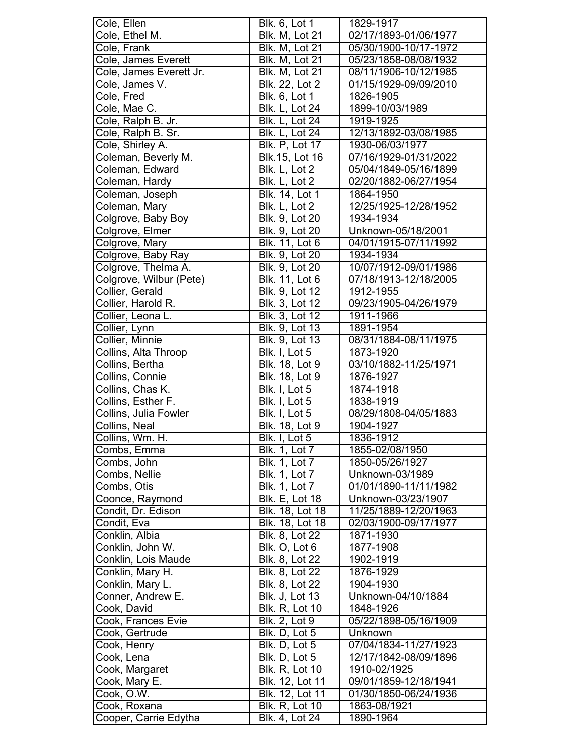|                            | Blk. 6, Lot 1                            | 1829-1917                             |
|----------------------------|------------------------------------------|---------------------------------------|
| Cole, Ethel M.             | Blk. M, Lot 21                           | 02/17/1893-01/06/1977                 |
| Cole, Frank                | Blk. M, Lot 21                           | 05/30/1900-10/17-1972                 |
| Cole, James Everett        | Blk. M, Lot 21                           | 05/23/1858-08/08/1932                 |
| Cole, James Everett Jr.    | Blk. M, Lot 21                           | 08/11/1906-10/12/1985                 |
| Cole, James V.             | Blk. 22, Lot 2                           | 01/15/1929-09/09/2010                 |
| Cole, Fred                 | Blk. 6, Lot 1                            | 1826-1905                             |
| Cole, Mae C.               | Blk. L, Lot 24                           | 1899-10/03/1989                       |
| Cole, Ralph B. Jr.         | Blk. L, Lot 24                           | 1919-1925                             |
| Cole, Ralph B. Sr.         | <b>Blk. L, Lot 24</b>                    | 12/13/1892-03/08/1985                 |
| Cole, Shirley A.           | <b>Blk. P, Lot 17</b>                    | 1930-06/03/1977                       |
| Coleman, Beverly M.        | Blk.15, Lot 16                           | 07/16/1929-01/31/2022                 |
| Coleman, Edward            | Blk. L, Lot 2                            | 05/04/1849-05/16/1899                 |
| Coleman, Hardy             | Blk. L, Lot 2                            | 02/20/1882-06/27/1954                 |
| Coleman, Joseph            | Blk. 14, Lot 1                           | 1864-1950                             |
| Coleman, Mary              | Blk. L, Lot 2                            | 12/25/1925-12/28/1952                 |
| Colgrove, Baby Boy         | Blk. 9, Lot 20                           | 1934-1934                             |
| Colgrove, Elmer            | Blk. 9, Lot 20                           | Unknown-05/18/2001                    |
| Colgrove, Mary             | Blk. 11, Lot 6                           | 04/01/1915-07/11/1992                 |
| Colgrove, Baby Ray         | Blk. 9, Lot 20                           | 1934-1934                             |
| Colgrove, Thelma A.        | Blk. 9, Lot 20                           | 10/07/1912-09/01/1986                 |
| Colgrove, Wilbur (Pete)    | Blk. 11, Lot 6                           | 07/18/1913-12/18/2005                 |
| Collier, Gerald            | Blk. 9, Lot 12                           | 1912-1955                             |
| Collier, Harold R.         | Blk. 3, Lot 12                           | 09/23/1905-04/26/1979                 |
| Collier, Leona L.          | Blk. 3, Lot 12                           | 1911-1966                             |
| Collier, Lynn              | Blk. 9, Lot 13                           | 1891-1954                             |
| Collier, Minnie            | Blk. 9, Lot 13                           | 08/31/1884-08/11/1975                 |
| Collins, Alta Throop       | Blk. I, Lot 5                            | 1873-1920                             |
| Collins, Bertha            | Blk. 18, Lot 9                           | 03/10/1882-11/25/1971                 |
| Collins, Connie            | Blk. 18, Lot 9                           | 1876-1927                             |
| Collins, Chas K.           | Blk. I, Lot 5                            | 1874-1918                             |
| Collins, Esther F.         | Blk. I, Lot 5                            | 1838-1919                             |
|                            |                                          |                                       |
|                            |                                          |                                       |
| Collins, Julia Fowler      | Blk. I, Lot 5                            | 08/29/1808-04/05/1883                 |
| Collins, Neal              | Blk. 18, Lot 9                           | 1904-1927                             |
| Collins, Wm. H.            | Blk. I, Lot 5                            | 1836-1912                             |
| Combs, Emma                | <b>Blk. 1, Lot 7</b>                     | 1855-02/08/1950                       |
| Combs, John                | <b>Blk. 1, Lot 7</b>                     | 1850-05/26/1927                       |
| Combs, Nellie              | Blk. 1, Lot 7                            | Unknown-03/1989                       |
| Combs, Otis                | <b>Blk. 1, Lot 7</b>                     | 01/01/1890-11/11/1982                 |
| Coonce, Raymond            | <b>Blk. E, Lot 18</b>                    | Unknown-03/23/1907                    |
| Condit, Dr. Edison         | Blk. 18, Lot 18                          | 11/25/1889-12/20/1963                 |
| Condit, Eva                | Blk. 18, Lot 18                          | 02/03/1900-09/17/1977                 |
| Conklin, Albia             | Blk. 8, Lot 22                           | 1871-1930                             |
| Conklin, John W.           | Blk. O, Lot 6                            | 1877-1908<br>1902-1919                |
| Conklin, Lois Maude        | Blk. 8, Lot 22                           |                                       |
| Conklin, Mary H.           | Blk. 8, Lot 22                           | 1876-1929                             |
| Conklin, Mary L.           | Blk. 8, Lot 22                           | 1904-1930                             |
| Conner, Andrew E.          | <b>Blk. J, Lot 13</b>                    | Unknown-04/10/1884                    |
| Cook, David                | <b>Blk. R, Lot 10</b>                    | 1848-1926                             |
| Cook, Frances Evie         | Blk. 2, Lot 9                            | 05/22/1898-05/16/1909                 |
| Cook, Gertrude             | Blk. D, Lot 5                            | Unknown                               |
| Cook, Henry                | Blk. D, Lot 5                            | 07/04/1834-11/27/1923                 |
| Cook, Lena                 | Blk. D, Lot 5                            | 12/17/1842-08/09/1896                 |
| Cook, Margaret             | <b>Blk. R, Lot 10</b>                    | 1910-02/1925                          |
| Cook, Mary E.              | Blk. 12, Lot 11                          | 09/01/1859-12/18/1941                 |
| Cook, O.W.<br>Cook, Roxana | Blk. 12, Lot 11<br><b>Blk. R, Lot 10</b> | 01/30/1850-06/24/1936<br>1863-08/1921 |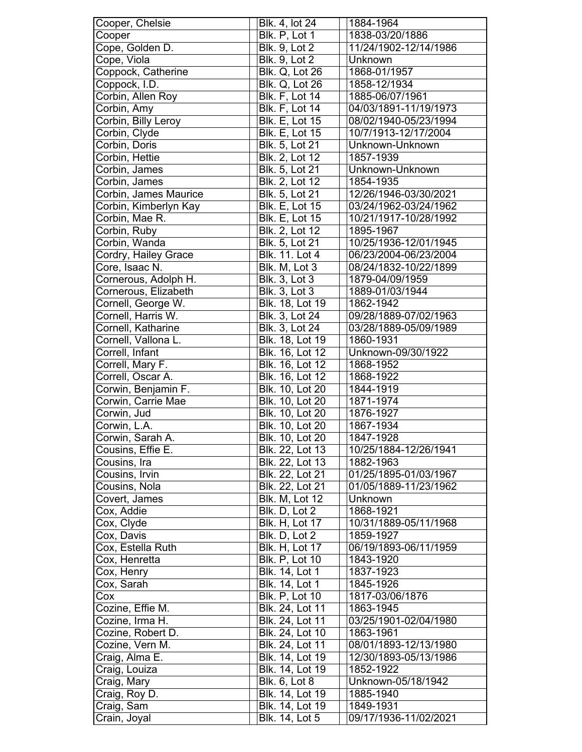| Cooper<br>Blk. P, Lot 1<br>1838-03/20/1886<br>Cope, Golden D.<br><b>Blk. 9, Lot 2</b><br>11/24/1902-12/14/1986<br>Cope, Viola<br><b>Blk. 9, Lot 2</b><br>Unknown<br>Coppock, Catherine<br>1868-01/1957<br><b>Blk. Q, Lot 26</b><br>Coppock, I.D.<br><b>Blk. Q, Lot 26</b><br>1858-12/1934<br><b>Blk. F, Lot 14</b><br>Corbin, Allen Roy<br>1885-06/07/1961<br>04/03/1891-11/19/1973<br>Corbin, Amy<br><b>Blk. F, Lot 14</b><br>Corbin, Billy Leroy<br>Blk. E, Lot 15<br>08/02/1940-05/23/1994<br>Corbin, Clyde<br><b>Blk. E. Lot 15</b><br>10/7/1913-12/17/2004<br>Blk. 5, Lot 21<br>Corbin, Doris<br>Unknown-Unknown<br>Corbin, Hettie<br>Blk. 2, Lot 12<br>1857-1939<br>Corbin, James<br>Blk. 5, Lot 21<br>Unknown-Unknown<br>Corbin, James<br>Blk. 2, Lot 12<br>1854-1935<br>Corbin, James Maurice<br>Blk. 5, Lot 21<br>12/26/1946-03/30/2021<br>Corbin, Kimberlyn Kay<br><b>Blk. E, Lot 15</b><br>03/24/1962-03/24/1962<br>Corbin, Mae R.<br><b>Blk. E, Lot 15</b><br>10/21/1917-10/28/1992<br>Corbin, Ruby<br>Blk. 2, Lot 12<br>1895-1967<br>Corbin, Wanda<br>Blk. 5, Lot 21<br>10/25/1936-12/01/1945<br>Cordry, Hailey Grace<br>Blk. 11. Lot 4<br>06/23/2004-06/23/2004<br>Core, Isaac N.<br>Blk. M, Lot 3<br>08/24/1832-10/22/1899<br>Cornerous, Adolph H.<br><b>Blk. 3, Lot 3</b><br>1879-04/09/1959<br>Cornerous, Elizabeth<br><b>Blk. 3, Lot 3</b><br>1889-01/03/1944<br>Cornell, George W.<br>Blk. 18, Lot 19<br>1862-1942<br>Cornell, Harris W.<br>Blk. 3, Lot 24<br>09/28/1889-07/02/1963<br>Blk. 3, Lot 24<br>Cornell, Katharine<br>03/28/1889-05/09/1989<br>Cornell, Vallona L.<br>Blk. 18, Lot 19<br>1860-1931<br>Correll, Infant<br>Blk. 16, Lot 12<br>Unknown-09/30/1922<br>Correll, Mary F.<br><b>Blk. 16, Lot 12</b><br>1868-1952<br>Correll, Oscar A.<br>Blk. 16, Lot 12<br>1868-1922<br>Corwin, Benjamin F.<br>Blk. 10, Lot 20<br>1844-1919<br><b>Blk. 10, Lot 20</b><br>Corwin, Carrie Mae<br>1871-1974<br>Blk. 10, Lot 20<br>1876-1927<br>Corwin, Jud<br>Corwin, L.A.<br>Blk. 10, Lot 20<br>1867-1934<br><b>Blk. 10, Lot 20</b><br>Corwin, Sarah A.<br>1847-1928<br>Cousins, Effie E.<br>Blk. 22, Lot 13<br>10/25/1884-12/26/1941<br>Blk. 22, Lot 13<br>Cousins, Ira<br>1882-1963<br>Cousins, Irvin<br>Blk. 22, Lot 21<br>01/25/1895-01/03/1967<br>Blk. 22, Lot 21<br>Cousins, Nola<br>01/05/1889-11/23/1962<br><b>Blk. M, Lot 12</b><br>Covert, James<br>Unknown<br>Blk. D, Lot 2<br>Cox, Addie<br>1868-1921<br><b>Blk. H, Lot 17</b><br>10/31/1889-05/11/1968<br>Cox, Clyde<br>Cox, Davis<br>Blk. D, Lot 2<br>1859-1927<br>Cox, Estella Ruth<br><b>Blk. H, Lot 17</b><br>06/19/1893-06/11/1959<br>Cox, Henretta<br><b>Blk. P, Lot 10</b><br>1843-1920<br>Cox, Henry<br>Blk. 14, Lot 1<br>1837-1923<br>Cox, Sarah<br>Blk. 14, Lot 1<br>1845-1926<br><b>Blk. P, Lot 10</b><br>1817-03/06/1876<br>Cox<br>Blk. 24, Lot 11<br>Cozine, Effie M.<br>1863-1945<br>Cozine, Irma H.<br>Blk. 24, Lot 11<br>03/25/1901-02/04/1980<br>Cozine, Robert D.<br>Blk. 24, Lot 10<br>1863-1961<br>Cozine, Vern M.<br>Blk. 24, Lot 11<br>08/01/1893-12/13/1980<br>Craig, Alma E.<br>Blk. 14, Lot 19<br>12/30/1893-05/13/1986<br>Blk. 14, Lot 19<br>Craig, Louiza<br>1852-1922<br>Unknown-05/18/1942<br><b>Blk. 6, Lot 8</b><br>Craig, Mary<br>Blk. 14, Lot 19<br>Craig, Roy D.<br>1885-1940<br>Craig, Sam<br>Blk. 14, Lot 19<br>1849-1931 | Cooper, Chelsie | Blk. 4, lot 24 | 1884-1964             |
|------------------------------------------------------------------------------------------------------------------------------------------------------------------------------------------------------------------------------------------------------------------------------------------------------------------------------------------------------------------------------------------------------------------------------------------------------------------------------------------------------------------------------------------------------------------------------------------------------------------------------------------------------------------------------------------------------------------------------------------------------------------------------------------------------------------------------------------------------------------------------------------------------------------------------------------------------------------------------------------------------------------------------------------------------------------------------------------------------------------------------------------------------------------------------------------------------------------------------------------------------------------------------------------------------------------------------------------------------------------------------------------------------------------------------------------------------------------------------------------------------------------------------------------------------------------------------------------------------------------------------------------------------------------------------------------------------------------------------------------------------------------------------------------------------------------------------------------------------------------------------------------------------------------------------------------------------------------------------------------------------------------------------------------------------------------------------------------------------------------------------------------------------------------------------------------------------------------------------------------------------------------------------------------------------------------------------------------------------------------------------------------------------------------------------------------------------------------------------------------------------------------------------------------------------------------------------------------------------------------------------------------------------------------------------------------------------------------------------------------------------------------------------------------------------------------------------------------------------------------------------------------------------------------------------------------------------------------------------------------------------------------------------------------------------------------------------------------------------------------------------------------------------------------------------------------------------------------------------------------------------------------------------------------------------------------------------------------------|-----------------|----------------|-----------------------|
|                                                                                                                                                                                                                                                                                                                                                                                                                                                                                                                                                                                                                                                                                                                                                                                                                                                                                                                                                                                                                                                                                                                                                                                                                                                                                                                                                                                                                                                                                                                                                                                                                                                                                                                                                                                                                                                                                                                                                                                                                                                                                                                                                                                                                                                                                                                                                                                                                                                                                                                                                                                                                                                                                                                                                                                                                                                                                                                                                                                                                                                                                                                                                                                                                                                                                                                                                |                 |                |                       |
|                                                                                                                                                                                                                                                                                                                                                                                                                                                                                                                                                                                                                                                                                                                                                                                                                                                                                                                                                                                                                                                                                                                                                                                                                                                                                                                                                                                                                                                                                                                                                                                                                                                                                                                                                                                                                                                                                                                                                                                                                                                                                                                                                                                                                                                                                                                                                                                                                                                                                                                                                                                                                                                                                                                                                                                                                                                                                                                                                                                                                                                                                                                                                                                                                                                                                                                                                |                 |                |                       |
|                                                                                                                                                                                                                                                                                                                                                                                                                                                                                                                                                                                                                                                                                                                                                                                                                                                                                                                                                                                                                                                                                                                                                                                                                                                                                                                                                                                                                                                                                                                                                                                                                                                                                                                                                                                                                                                                                                                                                                                                                                                                                                                                                                                                                                                                                                                                                                                                                                                                                                                                                                                                                                                                                                                                                                                                                                                                                                                                                                                                                                                                                                                                                                                                                                                                                                                                                |                 |                |                       |
|                                                                                                                                                                                                                                                                                                                                                                                                                                                                                                                                                                                                                                                                                                                                                                                                                                                                                                                                                                                                                                                                                                                                                                                                                                                                                                                                                                                                                                                                                                                                                                                                                                                                                                                                                                                                                                                                                                                                                                                                                                                                                                                                                                                                                                                                                                                                                                                                                                                                                                                                                                                                                                                                                                                                                                                                                                                                                                                                                                                                                                                                                                                                                                                                                                                                                                                                                |                 |                |                       |
|                                                                                                                                                                                                                                                                                                                                                                                                                                                                                                                                                                                                                                                                                                                                                                                                                                                                                                                                                                                                                                                                                                                                                                                                                                                                                                                                                                                                                                                                                                                                                                                                                                                                                                                                                                                                                                                                                                                                                                                                                                                                                                                                                                                                                                                                                                                                                                                                                                                                                                                                                                                                                                                                                                                                                                                                                                                                                                                                                                                                                                                                                                                                                                                                                                                                                                                                                |                 |                |                       |
|                                                                                                                                                                                                                                                                                                                                                                                                                                                                                                                                                                                                                                                                                                                                                                                                                                                                                                                                                                                                                                                                                                                                                                                                                                                                                                                                                                                                                                                                                                                                                                                                                                                                                                                                                                                                                                                                                                                                                                                                                                                                                                                                                                                                                                                                                                                                                                                                                                                                                                                                                                                                                                                                                                                                                                                                                                                                                                                                                                                                                                                                                                                                                                                                                                                                                                                                                |                 |                |                       |
|                                                                                                                                                                                                                                                                                                                                                                                                                                                                                                                                                                                                                                                                                                                                                                                                                                                                                                                                                                                                                                                                                                                                                                                                                                                                                                                                                                                                                                                                                                                                                                                                                                                                                                                                                                                                                                                                                                                                                                                                                                                                                                                                                                                                                                                                                                                                                                                                                                                                                                                                                                                                                                                                                                                                                                                                                                                                                                                                                                                                                                                                                                                                                                                                                                                                                                                                                |                 |                |                       |
|                                                                                                                                                                                                                                                                                                                                                                                                                                                                                                                                                                                                                                                                                                                                                                                                                                                                                                                                                                                                                                                                                                                                                                                                                                                                                                                                                                                                                                                                                                                                                                                                                                                                                                                                                                                                                                                                                                                                                                                                                                                                                                                                                                                                                                                                                                                                                                                                                                                                                                                                                                                                                                                                                                                                                                                                                                                                                                                                                                                                                                                                                                                                                                                                                                                                                                                                                |                 |                |                       |
|                                                                                                                                                                                                                                                                                                                                                                                                                                                                                                                                                                                                                                                                                                                                                                                                                                                                                                                                                                                                                                                                                                                                                                                                                                                                                                                                                                                                                                                                                                                                                                                                                                                                                                                                                                                                                                                                                                                                                                                                                                                                                                                                                                                                                                                                                                                                                                                                                                                                                                                                                                                                                                                                                                                                                                                                                                                                                                                                                                                                                                                                                                                                                                                                                                                                                                                                                |                 |                |                       |
|                                                                                                                                                                                                                                                                                                                                                                                                                                                                                                                                                                                                                                                                                                                                                                                                                                                                                                                                                                                                                                                                                                                                                                                                                                                                                                                                                                                                                                                                                                                                                                                                                                                                                                                                                                                                                                                                                                                                                                                                                                                                                                                                                                                                                                                                                                                                                                                                                                                                                                                                                                                                                                                                                                                                                                                                                                                                                                                                                                                                                                                                                                                                                                                                                                                                                                                                                |                 |                |                       |
|                                                                                                                                                                                                                                                                                                                                                                                                                                                                                                                                                                                                                                                                                                                                                                                                                                                                                                                                                                                                                                                                                                                                                                                                                                                                                                                                                                                                                                                                                                                                                                                                                                                                                                                                                                                                                                                                                                                                                                                                                                                                                                                                                                                                                                                                                                                                                                                                                                                                                                                                                                                                                                                                                                                                                                                                                                                                                                                                                                                                                                                                                                                                                                                                                                                                                                                                                |                 |                |                       |
|                                                                                                                                                                                                                                                                                                                                                                                                                                                                                                                                                                                                                                                                                                                                                                                                                                                                                                                                                                                                                                                                                                                                                                                                                                                                                                                                                                                                                                                                                                                                                                                                                                                                                                                                                                                                                                                                                                                                                                                                                                                                                                                                                                                                                                                                                                                                                                                                                                                                                                                                                                                                                                                                                                                                                                                                                                                                                                                                                                                                                                                                                                                                                                                                                                                                                                                                                |                 |                |                       |
|                                                                                                                                                                                                                                                                                                                                                                                                                                                                                                                                                                                                                                                                                                                                                                                                                                                                                                                                                                                                                                                                                                                                                                                                                                                                                                                                                                                                                                                                                                                                                                                                                                                                                                                                                                                                                                                                                                                                                                                                                                                                                                                                                                                                                                                                                                                                                                                                                                                                                                                                                                                                                                                                                                                                                                                                                                                                                                                                                                                                                                                                                                                                                                                                                                                                                                                                                |                 |                |                       |
|                                                                                                                                                                                                                                                                                                                                                                                                                                                                                                                                                                                                                                                                                                                                                                                                                                                                                                                                                                                                                                                                                                                                                                                                                                                                                                                                                                                                                                                                                                                                                                                                                                                                                                                                                                                                                                                                                                                                                                                                                                                                                                                                                                                                                                                                                                                                                                                                                                                                                                                                                                                                                                                                                                                                                                                                                                                                                                                                                                                                                                                                                                                                                                                                                                                                                                                                                |                 |                |                       |
|                                                                                                                                                                                                                                                                                                                                                                                                                                                                                                                                                                                                                                                                                                                                                                                                                                                                                                                                                                                                                                                                                                                                                                                                                                                                                                                                                                                                                                                                                                                                                                                                                                                                                                                                                                                                                                                                                                                                                                                                                                                                                                                                                                                                                                                                                                                                                                                                                                                                                                                                                                                                                                                                                                                                                                                                                                                                                                                                                                                                                                                                                                                                                                                                                                                                                                                                                |                 |                |                       |
|                                                                                                                                                                                                                                                                                                                                                                                                                                                                                                                                                                                                                                                                                                                                                                                                                                                                                                                                                                                                                                                                                                                                                                                                                                                                                                                                                                                                                                                                                                                                                                                                                                                                                                                                                                                                                                                                                                                                                                                                                                                                                                                                                                                                                                                                                                                                                                                                                                                                                                                                                                                                                                                                                                                                                                                                                                                                                                                                                                                                                                                                                                                                                                                                                                                                                                                                                |                 |                |                       |
|                                                                                                                                                                                                                                                                                                                                                                                                                                                                                                                                                                                                                                                                                                                                                                                                                                                                                                                                                                                                                                                                                                                                                                                                                                                                                                                                                                                                                                                                                                                                                                                                                                                                                                                                                                                                                                                                                                                                                                                                                                                                                                                                                                                                                                                                                                                                                                                                                                                                                                                                                                                                                                                                                                                                                                                                                                                                                                                                                                                                                                                                                                                                                                                                                                                                                                                                                |                 |                |                       |
|                                                                                                                                                                                                                                                                                                                                                                                                                                                                                                                                                                                                                                                                                                                                                                                                                                                                                                                                                                                                                                                                                                                                                                                                                                                                                                                                                                                                                                                                                                                                                                                                                                                                                                                                                                                                                                                                                                                                                                                                                                                                                                                                                                                                                                                                                                                                                                                                                                                                                                                                                                                                                                                                                                                                                                                                                                                                                                                                                                                                                                                                                                                                                                                                                                                                                                                                                |                 |                |                       |
|                                                                                                                                                                                                                                                                                                                                                                                                                                                                                                                                                                                                                                                                                                                                                                                                                                                                                                                                                                                                                                                                                                                                                                                                                                                                                                                                                                                                                                                                                                                                                                                                                                                                                                                                                                                                                                                                                                                                                                                                                                                                                                                                                                                                                                                                                                                                                                                                                                                                                                                                                                                                                                                                                                                                                                                                                                                                                                                                                                                                                                                                                                                                                                                                                                                                                                                                                |                 |                |                       |
|                                                                                                                                                                                                                                                                                                                                                                                                                                                                                                                                                                                                                                                                                                                                                                                                                                                                                                                                                                                                                                                                                                                                                                                                                                                                                                                                                                                                                                                                                                                                                                                                                                                                                                                                                                                                                                                                                                                                                                                                                                                                                                                                                                                                                                                                                                                                                                                                                                                                                                                                                                                                                                                                                                                                                                                                                                                                                                                                                                                                                                                                                                                                                                                                                                                                                                                                                |                 |                |                       |
|                                                                                                                                                                                                                                                                                                                                                                                                                                                                                                                                                                                                                                                                                                                                                                                                                                                                                                                                                                                                                                                                                                                                                                                                                                                                                                                                                                                                                                                                                                                                                                                                                                                                                                                                                                                                                                                                                                                                                                                                                                                                                                                                                                                                                                                                                                                                                                                                                                                                                                                                                                                                                                                                                                                                                                                                                                                                                                                                                                                                                                                                                                                                                                                                                                                                                                                                                |                 |                |                       |
|                                                                                                                                                                                                                                                                                                                                                                                                                                                                                                                                                                                                                                                                                                                                                                                                                                                                                                                                                                                                                                                                                                                                                                                                                                                                                                                                                                                                                                                                                                                                                                                                                                                                                                                                                                                                                                                                                                                                                                                                                                                                                                                                                                                                                                                                                                                                                                                                                                                                                                                                                                                                                                                                                                                                                                                                                                                                                                                                                                                                                                                                                                                                                                                                                                                                                                                                                |                 |                |                       |
|                                                                                                                                                                                                                                                                                                                                                                                                                                                                                                                                                                                                                                                                                                                                                                                                                                                                                                                                                                                                                                                                                                                                                                                                                                                                                                                                                                                                                                                                                                                                                                                                                                                                                                                                                                                                                                                                                                                                                                                                                                                                                                                                                                                                                                                                                                                                                                                                                                                                                                                                                                                                                                                                                                                                                                                                                                                                                                                                                                                                                                                                                                                                                                                                                                                                                                                                                |                 |                |                       |
|                                                                                                                                                                                                                                                                                                                                                                                                                                                                                                                                                                                                                                                                                                                                                                                                                                                                                                                                                                                                                                                                                                                                                                                                                                                                                                                                                                                                                                                                                                                                                                                                                                                                                                                                                                                                                                                                                                                                                                                                                                                                                                                                                                                                                                                                                                                                                                                                                                                                                                                                                                                                                                                                                                                                                                                                                                                                                                                                                                                                                                                                                                                                                                                                                                                                                                                                                |                 |                |                       |
|                                                                                                                                                                                                                                                                                                                                                                                                                                                                                                                                                                                                                                                                                                                                                                                                                                                                                                                                                                                                                                                                                                                                                                                                                                                                                                                                                                                                                                                                                                                                                                                                                                                                                                                                                                                                                                                                                                                                                                                                                                                                                                                                                                                                                                                                                                                                                                                                                                                                                                                                                                                                                                                                                                                                                                                                                                                                                                                                                                                                                                                                                                                                                                                                                                                                                                                                                |                 |                |                       |
|                                                                                                                                                                                                                                                                                                                                                                                                                                                                                                                                                                                                                                                                                                                                                                                                                                                                                                                                                                                                                                                                                                                                                                                                                                                                                                                                                                                                                                                                                                                                                                                                                                                                                                                                                                                                                                                                                                                                                                                                                                                                                                                                                                                                                                                                                                                                                                                                                                                                                                                                                                                                                                                                                                                                                                                                                                                                                                                                                                                                                                                                                                                                                                                                                                                                                                                                                |                 |                |                       |
|                                                                                                                                                                                                                                                                                                                                                                                                                                                                                                                                                                                                                                                                                                                                                                                                                                                                                                                                                                                                                                                                                                                                                                                                                                                                                                                                                                                                                                                                                                                                                                                                                                                                                                                                                                                                                                                                                                                                                                                                                                                                                                                                                                                                                                                                                                                                                                                                                                                                                                                                                                                                                                                                                                                                                                                                                                                                                                                                                                                                                                                                                                                                                                                                                                                                                                                                                |                 |                |                       |
|                                                                                                                                                                                                                                                                                                                                                                                                                                                                                                                                                                                                                                                                                                                                                                                                                                                                                                                                                                                                                                                                                                                                                                                                                                                                                                                                                                                                                                                                                                                                                                                                                                                                                                                                                                                                                                                                                                                                                                                                                                                                                                                                                                                                                                                                                                                                                                                                                                                                                                                                                                                                                                                                                                                                                                                                                                                                                                                                                                                                                                                                                                                                                                                                                                                                                                                                                |                 |                |                       |
|                                                                                                                                                                                                                                                                                                                                                                                                                                                                                                                                                                                                                                                                                                                                                                                                                                                                                                                                                                                                                                                                                                                                                                                                                                                                                                                                                                                                                                                                                                                                                                                                                                                                                                                                                                                                                                                                                                                                                                                                                                                                                                                                                                                                                                                                                                                                                                                                                                                                                                                                                                                                                                                                                                                                                                                                                                                                                                                                                                                                                                                                                                                                                                                                                                                                                                                                                |                 |                |                       |
|                                                                                                                                                                                                                                                                                                                                                                                                                                                                                                                                                                                                                                                                                                                                                                                                                                                                                                                                                                                                                                                                                                                                                                                                                                                                                                                                                                                                                                                                                                                                                                                                                                                                                                                                                                                                                                                                                                                                                                                                                                                                                                                                                                                                                                                                                                                                                                                                                                                                                                                                                                                                                                                                                                                                                                                                                                                                                                                                                                                                                                                                                                                                                                                                                                                                                                                                                |                 |                |                       |
|                                                                                                                                                                                                                                                                                                                                                                                                                                                                                                                                                                                                                                                                                                                                                                                                                                                                                                                                                                                                                                                                                                                                                                                                                                                                                                                                                                                                                                                                                                                                                                                                                                                                                                                                                                                                                                                                                                                                                                                                                                                                                                                                                                                                                                                                                                                                                                                                                                                                                                                                                                                                                                                                                                                                                                                                                                                                                                                                                                                                                                                                                                                                                                                                                                                                                                                                                |                 |                |                       |
|                                                                                                                                                                                                                                                                                                                                                                                                                                                                                                                                                                                                                                                                                                                                                                                                                                                                                                                                                                                                                                                                                                                                                                                                                                                                                                                                                                                                                                                                                                                                                                                                                                                                                                                                                                                                                                                                                                                                                                                                                                                                                                                                                                                                                                                                                                                                                                                                                                                                                                                                                                                                                                                                                                                                                                                                                                                                                                                                                                                                                                                                                                                                                                                                                                                                                                                                                |                 |                |                       |
|                                                                                                                                                                                                                                                                                                                                                                                                                                                                                                                                                                                                                                                                                                                                                                                                                                                                                                                                                                                                                                                                                                                                                                                                                                                                                                                                                                                                                                                                                                                                                                                                                                                                                                                                                                                                                                                                                                                                                                                                                                                                                                                                                                                                                                                                                                                                                                                                                                                                                                                                                                                                                                                                                                                                                                                                                                                                                                                                                                                                                                                                                                                                                                                                                                                                                                                                                |                 |                |                       |
|                                                                                                                                                                                                                                                                                                                                                                                                                                                                                                                                                                                                                                                                                                                                                                                                                                                                                                                                                                                                                                                                                                                                                                                                                                                                                                                                                                                                                                                                                                                                                                                                                                                                                                                                                                                                                                                                                                                                                                                                                                                                                                                                                                                                                                                                                                                                                                                                                                                                                                                                                                                                                                                                                                                                                                                                                                                                                                                                                                                                                                                                                                                                                                                                                                                                                                                                                |                 |                |                       |
|                                                                                                                                                                                                                                                                                                                                                                                                                                                                                                                                                                                                                                                                                                                                                                                                                                                                                                                                                                                                                                                                                                                                                                                                                                                                                                                                                                                                                                                                                                                                                                                                                                                                                                                                                                                                                                                                                                                                                                                                                                                                                                                                                                                                                                                                                                                                                                                                                                                                                                                                                                                                                                                                                                                                                                                                                                                                                                                                                                                                                                                                                                                                                                                                                                                                                                                                                |                 |                |                       |
|                                                                                                                                                                                                                                                                                                                                                                                                                                                                                                                                                                                                                                                                                                                                                                                                                                                                                                                                                                                                                                                                                                                                                                                                                                                                                                                                                                                                                                                                                                                                                                                                                                                                                                                                                                                                                                                                                                                                                                                                                                                                                                                                                                                                                                                                                                                                                                                                                                                                                                                                                                                                                                                                                                                                                                                                                                                                                                                                                                                                                                                                                                                                                                                                                                                                                                                                                |                 |                |                       |
|                                                                                                                                                                                                                                                                                                                                                                                                                                                                                                                                                                                                                                                                                                                                                                                                                                                                                                                                                                                                                                                                                                                                                                                                                                                                                                                                                                                                                                                                                                                                                                                                                                                                                                                                                                                                                                                                                                                                                                                                                                                                                                                                                                                                                                                                                                                                                                                                                                                                                                                                                                                                                                                                                                                                                                                                                                                                                                                                                                                                                                                                                                                                                                                                                                                                                                                                                |                 |                |                       |
|                                                                                                                                                                                                                                                                                                                                                                                                                                                                                                                                                                                                                                                                                                                                                                                                                                                                                                                                                                                                                                                                                                                                                                                                                                                                                                                                                                                                                                                                                                                                                                                                                                                                                                                                                                                                                                                                                                                                                                                                                                                                                                                                                                                                                                                                                                                                                                                                                                                                                                                                                                                                                                                                                                                                                                                                                                                                                                                                                                                                                                                                                                                                                                                                                                                                                                                                                |                 |                |                       |
|                                                                                                                                                                                                                                                                                                                                                                                                                                                                                                                                                                                                                                                                                                                                                                                                                                                                                                                                                                                                                                                                                                                                                                                                                                                                                                                                                                                                                                                                                                                                                                                                                                                                                                                                                                                                                                                                                                                                                                                                                                                                                                                                                                                                                                                                                                                                                                                                                                                                                                                                                                                                                                                                                                                                                                                                                                                                                                                                                                                                                                                                                                                                                                                                                                                                                                                                                |                 |                |                       |
|                                                                                                                                                                                                                                                                                                                                                                                                                                                                                                                                                                                                                                                                                                                                                                                                                                                                                                                                                                                                                                                                                                                                                                                                                                                                                                                                                                                                                                                                                                                                                                                                                                                                                                                                                                                                                                                                                                                                                                                                                                                                                                                                                                                                                                                                                                                                                                                                                                                                                                                                                                                                                                                                                                                                                                                                                                                                                                                                                                                                                                                                                                                                                                                                                                                                                                                                                |                 |                |                       |
|                                                                                                                                                                                                                                                                                                                                                                                                                                                                                                                                                                                                                                                                                                                                                                                                                                                                                                                                                                                                                                                                                                                                                                                                                                                                                                                                                                                                                                                                                                                                                                                                                                                                                                                                                                                                                                                                                                                                                                                                                                                                                                                                                                                                                                                                                                                                                                                                                                                                                                                                                                                                                                                                                                                                                                                                                                                                                                                                                                                                                                                                                                                                                                                                                                                                                                                                                |                 |                |                       |
|                                                                                                                                                                                                                                                                                                                                                                                                                                                                                                                                                                                                                                                                                                                                                                                                                                                                                                                                                                                                                                                                                                                                                                                                                                                                                                                                                                                                                                                                                                                                                                                                                                                                                                                                                                                                                                                                                                                                                                                                                                                                                                                                                                                                                                                                                                                                                                                                                                                                                                                                                                                                                                                                                                                                                                                                                                                                                                                                                                                                                                                                                                                                                                                                                                                                                                                                                |                 |                |                       |
|                                                                                                                                                                                                                                                                                                                                                                                                                                                                                                                                                                                                                                                                                                                                                                                                                                                                                                                                                                                                                                                                                                                                                                                                                                                                                                                                                                                                                                                                                                                                                                                                                                                                                                                                                                                                                                                                                                                                                                                                                                                                                                                                                                                                                                                                                                                                                                                                                                                                                                                                                                                                                                                                                                                                                                                                                                                                                                                                                                                                                                                                                                                                                                                                                                                                                                                                                |                 |                |                       |
|                                                                                                                                                                                                                                                                                                                                                                                                                                                                                                                                                                                                                                                                                                                                                                                                                                                                                                                                                                                                                                                                                                                                                                                                                                                                                                                                                                                                                                                                                                                                                                                                                                                                                                                                                                                                                                                                                                                                                                                                                                                                                                                                                                                                                                                                                                                                                                                                                                                                                                                                                                                                                                                                                                                                                                                                                                                                                                                                                                                                                                                                                                                                                                                                                                                                                                                                                |                 |                |                       |
|                                                                                                                                                                                                                                                                                                                                                                                                                                                                                                                                                                                                                                                                                                                                                                                                                                                                                                                                                                                                                                                                                                                                                                                                                                                                                                                                                                                                                                                                                                                                                                                                                                                                                                                                                                                                                                                                                                                                                                                                                                                                                                                                                                                                                                                                                                                                                                                                                                                                                                                                                                                                                                                                                                                                                                                                                                                                                                                                                                                                                                                                                                                                                                                                                                                                                                                                                |                 |                |                       |
|                                                                                                                                                                                                                                                                                                                                                                                                                                                                                                                                                                                                                                                                                                                                                                                                                                                                                                                                                                                                                                                                                                                                                                                                                                                                                                                                                                                                                                                                                                                                                                                                                                                                                                                                                                                                                                                                                                                                                                                                                                                                                                                                                                                                                                                                                                                                                                                                                                                                                                                                                                                                                                                                                                                                                                                                                                                                                                                                                                                                                                                                                                                                                                                                                                                                                                                                                |                 |                |                       |
|                                                                                                                                                                                                                                                                                                                                                                                                                                                                                                                                                                                                                                                                                                                                                                                                                                                                                                                                                                                                                                                                                                                                                                                                                                                                                                                                                                                                                                                                                                                                                                                                                                                                                                                                                                                                                                                                                                                                                                                                                                                                                                                                                                                                                                                                                                                                                                                                                                                                                                                                                                                                                                                                                                                                                                                                                                                                                                                                                                                                                                                                                                                                                                                                                                                                                                                                                |                 |                |                       |
|                                                                                                                                                                                                                                                                                                                                                                                                                                                                                                                                                                                                                                                                                                                                                                                                                                                                                                                                                                                                                                                                                                                                                                                                                                                                                                                                                                                                                                                                                                                                                                                                                                                                                                                                                                                                                                                                                                                                                                                                                                                                                                                                                                                                                                                                                                                                                                                                                                                                                                                                                                                                                                                                                                                                                                                                                                                                                                                                                                                                                                                                                                                                                                                                                                                                                                                                                |                 |                |                       |
|                                                                                                                                                                                                                                                                                                                                                                                                                                                                                                                                                                                                                                                                                                                                                                                                                                                                                                                                                                                                                                                                                                                                                                                                                                                                                                                                                                                                                                                                                                                                                                                                                                                                                                                                                                                                                                                                                                                                                                                                                                                                                                                                                                                                                                                                                                                                                                                                                                                                                                                                                                                                                                                                                                                                                                                                                                                                                                                                                                                                                                                                                                                                                                                                                                                                                                                                                |                 |                |                       |
|                                                                                                                                                                                                                                                                                                                                                                                                                                                                                                                                                                                                                                                                                                                                                                                                                                                                                                                                                                                                                                                                                                                                                                                                                                                                                                                                                                                                                                                                                                                                                                                                                                                                                                                                                                                                                                                                                                                                                                                                                                                                                                                                                                                                                                                                                                                                                                                                                                                                                                                                                                                                                                                                                                                                                                                                                                                                                                                                                                                                                                                                                                                                                                                                                                                                                                                                                |                 |                |                       |
|                                                                                                                                                                                                                                                                                                                                                                                                                                                                                                                                                                                                                                                                                                                                                                                                                                                                                                                                                                                                                                                                                                                                                                                                                                                                                                                                                                                                                                                                                                                                                                                                                                                                                                                                                                                                                                                                                                                                                                                                                                                                                                                                                                                                                                                                                                                                                                                                                                                                                                                                                                                                                                                                                                                                                                                                                                                                                                                                                                                                                                                                                                                                                                                                                                                                                                                                                |                 |                |                       |
|                                                                                                                                                                                                                                                                                                                                                                                                                                                                                                                                                                                                                                                                                                                                                                                                                                                                                                                                                                                                                                                                                                                                                                                                                                                                                                                                                                                                                                                                                                                                                                                                                                                                                                                                                                                                                                                                                                                                                                                                                                                                                                                                                                                                                                                                                                                                                                                                                                                                                                                                                                                                                                                                                                                                                                                                                                                                                                                                                                                                                                                                                                                                                                                                                                                                                                                                                |                 |                |                       |
|                                                                                                                                                                                                                                                                                                                                                                                                                                                                                                                                                                                                                                                                                                                                                                                                                                                                                                                                                                                                                                                                                                                                                                                                                                                                                                                                                                                                                                                                                                                                                                                                                                                                                                                                                                                                                                                                                                                                                                                                                                                                                                                                                                                                                                                                                                                                                                                                                                                                                                                                                                                                                                                                                                                                                                                                                                                                                                                                                                                                                                                                                                                                                                                                                                                                                                                                                |                 |                |                       |
|                                                                                                                                                                                                                                                                                                                                                                                                                                                                                                                                                                                                                                                                                                                                                                                                                                                                                                                                                                                                                                                                                                                                                                                                                                                                                                                                                                                                                                                                                                                                                                                                                                                                                                                                                                                                                                                                                                                                                                                                                                                                                                                                                                                                                                                                                                                                                                                                                                                                                                                                                                                                                                                                                                                                                                                                                                                                                                                                                                                                                                                                                                                                                                                                                                                                                                                                                |                 |                |                       |
|                                                                                                                                                                                                                                                                                                                                                                                                                                                                                                                                                                                                                                                                                                                                                                                                                                                                                                                                                                                                                                                                                                                                                                                                                                                                                                                                                                                                                                                                                                                                                                                                                                                                                                                                                                                                                                                                                                                                                                                                                                                                                                                                                                                                                                                                                                                                                                                                                                                                                                                                                                                                                                                                                                                                                                                                                                                                                                                                                                                                                                                                                                                                                                                                                                                                                                                                                |                 |                |                       |
|                                                                                                                                                                                                                                                                                                                                                                                                                                                                                                                                                                                                                                                                                                                                                                                                                                                                                                                                                                                                                                                                                                                                                                                                                                                                                                                                                                                                                                                                                                                                                                                                                                                                                                                                                                                                                                                                                                                                                                                                                                                                                                                                                                                                                                                                                                                                                                                                                                                                                                                                                                                                                                                                                                                                                                                                                                                                                                                                                                                                                                                                                                                                                                                                                                                                                                                                                |                 |                |                       |
|                                                                                                                                                                                                                                                                                                                                                                                                                                                                                                                                                                                                                                                                                                                                                                                                                                                                                                                                                                                                                                                                                                                                                                                                                                                                                                                                                                                                                                                                                                                                                                                                                                                                                                                                                                                                                                                                                                                                                                                                                                                                                                                                                                                                                                                                                                                                                                                                                                                                                                                                                                                                                                                                                                                                                                                                                                                                                                                                                                                                                                                                                                                                                                                                                                                                                                                                                | Crain, Joyal    | Blk. 14, Lot 5 | 09/17/1936-11/02/2021 |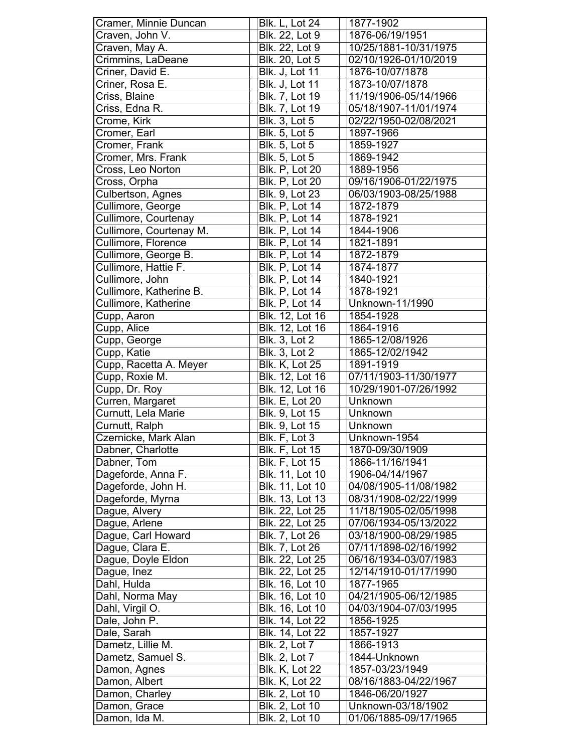| Craven, John V.<br>Blk. 22, Lot 9<br>1876-06/19/1951<br>Craven, May A.<br>Blk. 22, Lot 9<br>10/25/1881-10/31/1975<br>Crimmins, LaDeane<br>Blk. 20, Lot 5<br>02/10/1926-01/10/2019<br>Criner, David E.<br><b>Blk. J, Lot 11</b><br>1876-10/07/1878<br>1873-10/07/1878<br>Criner, Rosa E.<br><b>Blk. J, Lot 11</b><br>Criss, Blaine<br>Blk. 7, Lot 19<br>11/19/1906-05/14/1966<br>05/18/1907-11/01/1974<br>Criss, Edna R.<br>Blk. 7, Lot 19<br>Crome, Kirk<br>Blk. 3, Lot 5<br>02/22/1950-02/08/2021<br><b>Blk. 5, Lot 5</b><br>1897-1966<br>Cromer, Earl<br><b>Blk. 5, Lot 5</b><br>Cromer, Frank<br>1859-1927<br>Cromer, Mrs. Frank<br><b>Blk.</b> 5, Lot 5<br>1869-1942<br>Cross, Leo Norton<br><b>Blk. P, Lot 20</b><br>1889-1956<br>Cross, Orpha<br><b>Blk. P, Lot 20</b><br>09/16/1906-01/22/1975<br>Culbertson, Agnes<br>Blk. 9, Lot 23<br>06/03/1903-08/25/1988<br>Cullimore, George<br><b>Blk. P, Lot 14</b><br>1872-1879<br>Cullimore, Courtenay<br><b>Blk. P, Lot 14</b><br>1878-1921<br><b>Blk. P, Lot 14</b><br>Cullimore, Courtenay M.<br>1844-1906<br>Cullimore, Florence<br><b>Blk. P. Lot 14</b><br>1821-1891<br><b>Blk. P, Lot 14</b><br>Cullimore, George B.<br>1872-1879<br>Cullimore, Hattie F.<br>Blk. P, Lot 14<br>1874-1877<br>Cullimore, John<br><b>Blk. P, Lot 14</b><br>1840-1921<br>Cullimore, Katherine B.<br><b>Blk. P, Lot 14</b><br>1878-1921<br>Cullimore, Katherine<br><b>Blk. P, Lot 14</b><br>Unknown-11/1990<br>Blk. 12, Lot 16<br>Cupp, Aaron<br>1854-1928<br>Cupp, Alice<br>Blk. 12, Lot 16<br>1864-1916<br><b>Blk. 3, Lot 2</b><br>1865-12/08/1926<br>Cupp, George<br>Cupp, Katie<br><b>Blk. 3, Lot 2</b><br>1865-12/02/1942<br>Cupp, Racetta A. Meyer<br><b>Blk. K, Lot 25</b><br>1891-1919<br>07/11/1903-11/30/1977<br>Cupp, Roxie M.<br>Blk. 12, Lot 16<br>Cupp, Dr. Roy<br>Blk. 12, Lot 16<br>10/29/1901-07/26/1992<br>Curren, Margaret<br><b>Blk. E, Lot 20</b><br>Unknown<br>Curnutt, Lela Marie<br><b>Blk.</b> 9, Lot 15<br>Unknown<br><b>Blk.</b> 9, Lot 15<br>Curnutt, Ralph<br>Unknown<br>Blk. F, Lot 3<br>Czernicke, Mark Alan<br>Unknown-1954<br>Dabner, Charlotte<br><b>Blk. F, Lot 15</b><br>1870-09/30/1909<br>Dabner, Tom<br><b>Blk. F, Lot 15</b><br>1866-11/16/1941<br>Dageforde, Anna F.<br>Blk. 11, Lot 10<br>1906-04/14/1967<br>Dageforde, John H.<br>Blk. 11, Lot 10<br>04/08/1905-11/08/1982<br>Dageforde, Myrna<br>Blk. 13, Lot 13<br>08/31/1908-02/22/1999<br>Blk. 22, Lot 25<br>Dague, Alvery<br>11/18/1905-02/05/1998<br>Dague, Arlene<br>Blk. 22, Lot 25<br>07/06/1934-05/13/2022<br>Dague, Carl Howard<br>Blk. 7, Lot 26<br>03/18/1900-08/29/1985<br>Dague, Clara E.<br>Blk. 7, Lot 26<br>07/11/1898-02/16/1992<br>Dague, Doyle Eldon<br>Blk. 22, Lot 25<br>06/16/1934-03/07/1983<br>Dague, Inez<br>Blk. 22, Lot 25<br>12/14/1910-01/17/1990<br>Dahl, Hulda<br>Blk. 16, Lot 10<br>1877-1965<br>Dahl, Norma May<br>Blk. 16, Lot 10<br>04/21/1905-06/12/1985<br>Dahl, Virgil O.<br>Blk. 16, Lot 10<br>04/03/1904-07/03/1995<br>Dale, John P.<br>Blk. 14, Lot 22<br>1856-1925<br>Dale, Sarah<br>Blk. 14, Lot 22<br>1857-1927<br>Dametz, Lillie M.<br>Blk. 2, Lot 7<br>1866-1913<br>Dametz, Samuel S.<br>Blk. 2, Lot 7<br>1844-Unknown<br>Damon, Agnes<br><b>Blk. K, Lot 22</b><br>1857-03/23/1949<br>Damon, Albert<br><b>Blk. K, Lot 22</b><br>08/16/1883-04/22/1967<br>Blk. 2, Lot 10<br>Damon, Charley<br>1846-06/20/1927<br>Blk. 2, Lot 10<br>Unknown-03/18/1902<br>Damon, Grace<br>Blk. 2, Lot 10<br>01/06/1885-09/17/1965<br>Damon, Ida M. | Cramer, Minnie Duncan | <b>Blk. L, Lot 24</b> | 1877-1902 |
|-----------------------------------------------------------------------------------------------------------------------------------------------------------------------------------------------------------------------------------------------------------------------------------------------------------------------------------------------------------------------------------------------------------------------------------------------------------------------------------------------------------------------------------------------------------------------------------------------------------------------------------------------------------------------------------------------------------------------------------------------------------------------------------------------------------------------------------------------------------------------------------------------------------------------------------------------------------------------------------------------------------------------------------------------------------------------------------------------------------------------------------------------------------------------------------------------------------------------------------------------------------------------------------------------------------------------------------------------------------------------------------------------------------------------------------------------------------------------------------------------------------------------------------------------------------------------------------------------------------------------------------------------------------------------------------------------------------------------------------------------------------------------------------------------------------------------------------------------------------------------------------------------------------------------------------------------------------------------------------------------------------------------------------------------------------------------------------------------------------------------------------------------------------------------------------------------------------------------------------------------------------------------------------------------------------------------------------------------------------------------------------------------------------------------------------------------------------------------------------------------------------------------------------------------------------------------------------------------------------------------------------------------------------------------------------------------------------------------------------------------------------------------------------------------------------------------------------------------------------------------------------------------------------------------------------------------------------------------------------------------------------------------------------------------------------------------------------------------------------------------------------------------------------------------------------------------------------------------------------------------------------------------------------------------------------------------------------------------------------------------------------------------------------------------------------------------------------------------------------------------------------------|-----------------------|-----------------------|-----------|
|                                                                                                                                                                                                                                                                                                                                                                                                                                                                                                                                                                                                                                                                                                                                                                                                                                                                                                                                                                                                                                                                                                                                                                                                                                                                                                                                                                                                                                                                                                                                                                                                                                                                                                                                                                                                                                                                                                                                                                                                                                                                                                                                                                                                                                                                                                                                                                                                                                                                                                                                                                                                                                                                                                                                                                                                                                                                                                                                                                                                                                                                                                                                                                                                                                                                                                                                                                                                                                                                                                                 |                       |                       |           |
|                                                                                                                                                                                                                                                                                                                                                                                                                                                                                                                                                                                                                                                                                                                                                                                                                                                                                                                                                                                                                                                                                                                                                                                                                                                                                                                                                                                                                                                                                                                                                                                                                                                                                                                                                                                                                                                                                                                                                                                                                                                                                                                                                                                                                                                                                                                                                                                                                                                                                                                                                                                                                                                                                                                                                                                                                                                                                                                                                                                                                                                                                                                                                                                                                                                                                                                                                                                                                                                                                                                 |                       |                       |           |
|                                                                                                                                                                                                                                                                                                                                                                                                                                                                                                                                                                                                                                                                                                                                                                                                                                                                                                                                                                                                                                                                                                                                                                                                                                                                                                                                                                                                                                                                                                                                                                                                                                                                                                                                                                                                                                                                                                                                                                                                                                                                                                                                                                                                                                                                                                                                                                                                                                                                                                                                                                                                                                                                                                                                                                                                                                                                                                                                                                                                                                                                                                                                                                                                                                                                                                                                                                                                                                                                                                                 |                       |                       |           |
|                                                                                                                                                                                                                                                                                                                                                                                                                                                                                                                                                                                                                                                                                                                                                                                                                                                                                                                                                                                                                                                                                                                                                                                                                                                                                                                                                                                                                                                                                                                                                                                                                                                                                                                                                                                                                                                                                                                                                                                                                                                                                                                                                                                                                                                                                                                                                                                                                                                                                                                                                                                                                                                                                                                                                                                                                                                                                                                                                                                                                                                                                                                                                                                                                                                                                                                                                                                                                                                                                                                 |                       |                       |           |
|                                                                                                                                                                                                                                                                                                                                                                                                                                                                                                                                                                                                                                                                                                                                                                                                                                                                                                                                                                                                                                                                                                                                                                                                                                                                                                                                                                                                                                                                                                                                                                                                                                                                                                                                                                                                                                                                                                                                                                                                                                                                                                                                                                                                                                                                                                                                                                                                                                                                                                                                                                                                                                                                                                                                                                                                                                                                                                                                                                                                                                                                                                                                                                                                                                                                                                                                                                                                                                                                                                                 |                       |                       |           |
|                                                                                                                                                                                                                                                                                                                                                                                                                                                                                                                                                                                                                                                                                                                                                                                                                                                                                                                                                                                                                                                                                                                                                                                                                                                                                                                                                                                                                                                                                                                                                                                                                                                                                                                                                                                                                                                                                                                                                                                                                                                                                                                                                                                                                                                                                                                                                                                                                                                                                                                                                                                                                                                                                                                                                                                                                                                                                                                                                                                                                                                                                                                                                                                                                                                                                                                                                                                                                                                                                                                 |                       |                       |           |
|                                                                                                                                                                                                                                                                                                                                                                                                                                                                                                                                                                                                                                                                                                                                                                                                                                                                                                                                                                                                                                                                                                                                                                                                                                                                                                                                                                                                                                                                                                                                                                                                                                                                                                                                                                                                                                                                                                                                                                                                                                                                                                                                                                                                                                                                                                                                                                                                                                                                                                                                                                                                                                                                                                                                                                                                                                                                                                                                                                                                                                                                                                                                                                                                                                                                                                                                                                                                                                                                                                                 |                       |                       |           |
|                                                                                                                                                                                                                                                                                                                                                                                                                                                                                                                                                                                                                                                                                                                                                                                                                                                                                                                                                                                                                                                                                                                                                                                                                                                                                                                                                                                                                                                                                                                                                                                                                                                                                                                                                                                                                                                                                                                                                                                                                                                                                                                                                                                                                                                                                                                                                                                                                                                                                                                                                                                                                                                                                                                                                                                                                                                                                                                                                                                                                                                                                                                                                                                                                                                                                                                                                                                                                                                                                                                 |                       |                       |           |
|                                                                                                                                                                                                                                                                                                                                                                                                                                                                                                                                                                                                                                                                                                                                                                                                                                                                                                                                                                                                                                                                                                                                                                                                                                                                                                                                                                                                                                                                                                                                                                                                                                                                                                                                                                                                                                                                                                                                                                                                                                                                                                                                                                                                                                                                                                                                                                                                                                                                                                                                                                                                                                                                                                                                                                                                                                                                                                                                                                                                                                                                                                                                                                                                                                                                                                                                                                                                                                                                                                                 |                       |                       |           |
|                                                                                                                                                                                                                                                                                                                                                                                                                                                                                                                                                                                                                                                                                                                                                                                                                                                                                                                                                                                                                                                                                                                                                                                                                                                                                                                                                                                                                                                                                                                                                                                                                                                                                                                                                                                                                                                                                                                                                                                                                                                                                                                                                                                                                                                                                                                                                                                                                                                                                                                                                                                                                                                                                                                                                                                                                                                                                                                                                                                                                                                                                                                                                                                                                                                                                                                                                                                                                                                                                                                 |                       |                       |           |
|                                                                                                                                                                                                                                                                                                                                                                                                                                                                                                                                                                                                                                                                                                                                                                                                                                                                                                                                                                                                                                                                                                                                                                                                                                                                                                                                                                                                                                                                                                                                                                                                                                                                                                                                                                                                                                                                                                                                                                                                                                                                                                                                                                                                                                                                                                                                                                                                                                                                                                                                                                                                                                                                                                                                                                                                                                                                                                                                                                                                                                                                                                                                                                                                                                                                                                                                                                                                                                                                                                                 |                       |                       |           |
|                                                                                                                                                                                                                                                                                                                                                                                                                                                                                                                                                                                                                                                                                                                                                                                                                                                                                                                                                                                                                                                                                                                                                                                                                                                                                                                                                                                                                                                                                                                                                                                                                                                                                                                                                                                                                                                                                                                                                                                                                                                                                                                                                                                                                                                                                                                                                                                                                                                                                                                                                                                                                                                                                                                                                                                                                                                                                                                                                                                                                                                                                                                                                                                                                                                                                                                                                                                                                                                                                                                 |                       |                       |           |
|                                                                                                                                                                                                                                                                                                                                                                                                                                                                                                                                                                                                                                                                                                                                                                                                                                                                                                                                                                                                                                                                                                                                                                                                                                                                                                                                                                                                                                                                                                                                                                                                                                                                                                                                                                                                                                                                                                                                                                                                                                                                                                                                                                                                                                                                                                                                                                                                                                                                                                                                                                                                                                                                                                                                                                                                                                                                                                                                                                                                                                                                                                                                                                                                                                                                                                                                                                                                                                                                                                                 |                       |                       |           |
|                                                                                                                                                                                                                                                                                                                                                                                                                                                                                                                                                                                                                                                                                                                                                                                                                                                                                                                                                                                                                                                                                                                                                                                                                                                                                                                                                                                                                                                                                                                                                                                                                                                                                                                                                                                                                                                                                                                                                                                                                                                                                                                                                                                                                                                                                                                                                                                                                                                                                                                                                                                                                                                                                                                                                                                                                                                                                                                                                                                                                                                                                                                                                                                                                                                                                                                                                                                                                                                                                                                 |                       |                       |           |
|                                                                                                                                                                                                                                                                                                                                                                                                                                                                                                                                                                                                                                                                                                                                                                                                                                                                                                                                                                                                                                                                                                                                                                                                                                                                                                                                                                                                                                                                                                                                                                                                                                                                                                                                                                                                                                                                                                                                                                                                                                                                                                                                                                                                                                                                                                                                                                                                                                                                                                                                                                                                                                                                                                                                                                                                                                                                                                                                                                                                                                                                                                                                                                                                                                                                                                                                                                                                                                                                                                                 |                       |                       |           |
|                                                                                                                                                                                                                                                                                                                                                                                                                                                                                                                                                                                                                                                                                                                                                                                                                                                                                                                                                                                                                                                                                                                                                                                                                                                                                                                                                                                                                                                                                                                                                                                                                                                                                                                                                                                                                                                                                                                                                                                                                                                                                                                                                                                                                                                                                                                                                                                                                                                                                                                                                                                                                                                                                                                                                                                                                                                                                                                                                                                                                                                                                                                                                                                                                                                                                                                                                                                                                                                                                                                 |                       |                       |           |
|                                                                                                                                                                                                                                                                                                                                                                                                                                                                                                                                                                                                                                                                                                                                                                                                                                                                                                                                                                                                                                                                                                                                                                                                                                                                                                                                                                                                                                                                                                                                                                                                                                                                                                                                                                                                                                                                                                                                                                                                                                                                                                                                                                                                                                                                                                                                                                                                                                                                                                                                                                                                                                                                                                                                                                                                                                                                                                                                                                                                                                                                                                                                                                                                                                                                                                                                                                                                                                                                                                                 |                       |                       |           |
|                                                                                                                                                                                                                                                                                                                                                                                                                                                                                                                                                                                                                                                                                                                                                                                                                                                                                                                                                                                                                                                                                                                                                                                                                                                                                                                                                                                                                                                                                                                                                                                                                                                                                                                                                                                                                                                                                                                                                                                                                                                                                                                                                                                                                                                                                                                                                                                                                                                                                                                                                                                                                                                                                                                                                                                                                                                                                                                                                                                                                                                                                                                                                                                                                                                                                                                                                                                                                                                                                                                 |                       |                       |           |
|                                                                                                                                                                                                                                                                                                                                                                                                                                                                                                                                                                                                                                                                                                                                                                                                                                                                                                                                                                                                                                                                                                                                                                                                                                                                                                                                                                                                                                                                                                                                                                                                                                                                                                                                                                                                                                                                                                                                                                                                                                                                                                                                                                                                                                                                                                                                                                                                                                                                                                                                                                                                                                                                                                                                                                                                                                                                                                                                                                                                                                                                                                                                                                                                                                                                                                                                                                                                                                                                                                                 |                       |                       |           |
|                                                                                                                                                                                                                                                                                                                                                                                                                                                                                                                                                                                                                                                                                                                                                                                                                                                                                                                                                                                                                                                                                                                                                                                                                                                                                                                                                                                                                                                                                                                                                                                                                                                                                                                                                                                                                                                                                                                                                                                                                                                                                                                                                                                                                                                                                                                                                                                                                                                                                                                                                                                                                                                                                                                                                                                                                                                                                                                                                                                                                                                                                                                                                                                                                                                                                                                                                                                                                                                                                                                 |                       |                       |           |
|                                                                                                                                                                                                                                                                                                                                                                                                                                                                                                                                                                                                                                                                                                                                                                                                                                                                                                                                                                                                                                                                                                                                                                                                                                                                                                                                                                                                                                                                                                                                                                                                                                                                                                                                                                                                                                                                                                                                                                                                                                                                                                                                                                                                                                                                                                                                                                                                                                                                                                                                                                                                                                                                                                                                                                                                                                                                                                                                                                                                                                                                                                                                                                                                                                                                                                                                                                                                                                                                                                                 |                       |                       |           |
|                                                                                                                                                                                                                                                                                                                                                                                                                                                                                                                                                                                                                                                                                                                                                                                                                                                                                                                                                                                                                                                                                                                                                                                                                                                                                                                                                                                                                                                                                                                                                                                                                                                                                                                                                                                                                                                                                                                                                                                                                                                                                                                                                                                                                                                                                                                                                                                                                                                                                                                                                                                                                                                                                                                                                                                                                                                                                                                                                                                                                                                                                                                                                                                                                                                                                                                                                                                                                                                                                                                 |                       |                       |           |
|                                                                                                                                                                                                                                                                                                                                                                                                                                                                                                                                                                                                                                                                                                                                                                                                                                                                                                                                                                                                                                                                                                                                                                                                                                                                                                                                                                                                                                                                                                                                                                                                                                                                                                                                                                                                                                                                                                                                                                                                                                                                                                                                                                                                                                                                                                                                                                                                                                                                                                                                                                                                                                                                                                                                                                                                                                                                                                                                                                                                                                                                                                                                                                                                                                                                                                                                                                                                                                                                                                                 |                       |                       |           |
|                                                                                                                                                                                                                                                                                                                                                                                                                                                                                                                                                                                                                                                                                                                                                                                                                                                                                                                                                                                                                                                                                                                                                                                                                                                                                                                                                                                                                                                                                                                                                                                                                                                                                                                                                                                                                                                                                                                                                                                                                                                                                                                                                                                                                                                                                                                                                                                                                                                                                                                                                                                                                                                                                                                                                                                                                                                                                                                                                                                                                                                                                                                                                                                                                                                                                                                                                                                                                                                                                                                 |                       |                       |           |
|                                                                                                                                                                                                                                                                                                                                                                                                                                                                                                                                                                                                                                                                                                                                                                                                                                                                                                                                                                                                                                                                                                                                                                                                                                                                                                                                                                                                                                                                                                                                                                                                                                                                                                                                                                                                                                                                                                                                                                                                                                                                                                                                                                                                                                                                                                                                                                                                                                                                                                                                                                                                                                                                                                                                                                                                                                                                                                                                                                                                                                                                                                                                                                                                                                                                                                                                                                                                                                                                                                                 |                       |                       |           |
|                                                                                                                                                                                                                                                                                                                                                                                                                                                                                                                                                                                                                                                                                                                                                                                                                                                                                                                                                                                                                                                                                                                                                                                                                                                                                                                                                                                                                                                                                                                                                                                                                                                                                                                                                                                                                                                                                                                                                                                                                                                                                                                                                                                                                                                                                                                                                                                                                                                                                                                                                                                                                                                                                                                                                                                                                                                                                                                                                                                                                                                                                                                                                                                                                                                                                                                                                                                                                                                                                                                 |                       |                       |           |
|                                                                                                                                                                                                                                                                                                                                                                                                                                                                                                                                                                                                                                                                                                                                                                                                                                                                                                                                                                                                                                                                                                                                                                                                                                                                                                                                                                                                                                                                                                                                                                                                                                                                                                                                                                                                                                                                                                                                                                                                                                                                                                                                                                                                                                                                                                                                                                                                                                                                                                                                                                                                                                                                                                                                                                                                                                                                                                                                                                                                                                                                                                                                                                                                                                                                                                                                                                                                                                                                                                                 |                       |                       |           |
|                                                                                                                                                                                                                                                                                                                                                                                                                                                                                                                                                                                                                                                                                                                                                                                                                                                                                                                                                                                                                                                                                                                                                                                                                                                                                                                                                                                                                                                                                                                                                                                                                                                                                                                                                                                                                                                                                                                                                                                                                                                                                                                                                                                                                                                                                                                                                                                                                                                                                                                                                                                                                                                                                                                                                                                                                                                                                                                                                                                                                                                                                                                                                                                                                                                                                                                                                                                                                                                                                                                 |                       |                       |           |
|                                                                                                                                                                                                                                                                                                                                                                                                                                                                                                                                                                                                                                                                                                                                                                                                                                                                                                                                                                                                                                                                                                                                                                                                                                                                                                                                                                                                                                                                                                                                                                                                                                                                                                                                                                                                                                                                                                                                                                                                                                                                                                                                                                                                                                                                                                                                                                                                                                                                                                                                                                                                                                                                                                                                                                                                                                                                                                                                                                                                                                                                                                                                                                                                                                                                                                                                                                                                                                                                                                                 |                       |                       |           |
|                                                                                                                                                                                                                                                                                                                                                                                                                                                                                                                                                                                                                                                                                                                                                                                                                                                                                                                                                                                                                                                                                                                                                                                                                                                                                                                                                                                                                                                                                                                                                                                                                                                                                                                                                                                                                                                                                                                                                                                                                                                                                                                                                                                                                                                                                                                                                                                                                                                                                                                                                                                                                                                                                                                                                                                                                                                                                                                                                                                                                                                                                                                                                                                                                                                                                                                                                                                                                                                                                                                 |                       |                       |           |
|                                                                                                                                                                                                                                                                                                                                                                                                                                                                                                                                                                                                                                                                                                                                                                                                                                                                                                                                                                                                                                                                                                                                                                                                                                                                                                                                                                                                                                                                                                                                                                                                                                                                                                                                                                                                                                                                                                                                                                                                                                                                                                                                                                                                                                                                                                                                                                                                                                                                                                                                                                                                                                                                                                                                                                                                                                                                                                                                                                                                                                                                                                                                                                                                                                                                                                                                                                                                                                                                                                                 |                       |                       |           |
|                                                                                                                                                                                                                                                                                                                                                                                                                                                                                                                                                                                                                                                                                                                                                                                                                                                                                                                                                                                                                                                                                                                                                                                                                                                                                                                                                                                                                                                                                                                                                                                                                                                                                                                                                                                                                                                                                                                                                                                                                                                                                                                                                                                                                                                                                                                                                                                                                                                                                                                                                                                                                                                                                                                                                                                                                                                                                                                                                                                                                                                                                                                                                                                                                                                                                                                                                                                                                                                                                                                 |                       |                       |           |
|                                                                                                                                                                                                                                                                                                                                                                                                                                                                                                                                                                                                                                                                                                                                                                                                                                                                                                                                                                                                                                                                                                                                                                                                                                                                                                                                                                                                                                                                                                                                                                                                                                                                                                                                                                                                                                                                                                                                                                                                                                                                                                                                                                                                                                                                                                                                                                                                                                                                                                                                                                                                                                                                                                                                                                                                                                                                                                                                                                                                                                                                                                                                                                                                                                                                                                                                                                                                                                                                                                                 |                       |                       |           |
|                                                                                                                                                                                                                                                                                                                                                                                                                                                                                                                                                                                                                                                                                                                                                                                                                                                                                                                                                                                                                                                                                                                                                                                                                                                                                                                                                                                                                                                                                                                                                                                                                                                                                                                                                                                                                                                                                                                                                                                                                                                                                                                                                                                                                                                                                                                                                                                                                                                                                                                                                                                                                                                                                                                                                                                                                                                                                                                                                                                                                                                                                                                                                                                                                                                                                                                                                                                                                                                                                                                 |                       |                       |           |
|                                                                                                                                                                                                                                                                                                                                                                                                                                                                                                                                                                                                                                                                                                                                                                                                                                                                                                                                                                                                                                                                                                                                                                                                                                                                                                                                                                                                                                                                                                                                                                                                                                                                                                                                                                                                                                                                                                                                                                                                                                                                                                                                                                                                                                                                                                                                                                                                                                                                                                                                                                                                                                                                                                                                                                                                                                                                                                                                                                                                                                                                                                                                                                                                                                                                                                                                                                                                                                                                                                                 |                       |                       |           |
|                                                                                                                                                                                                                                                                                                                                                                                                                                                                                                                                                                                                                                                                                                                                                                                                                                                                                                                                                                                                                                                                                                                                                                                                                                                                                                                                                                                                                                                                                                                                                                                                                                                                                                                                                                                                                                                                                                                                                                                                                                                                                                                                                                                                                                                                                                                                                                                                                                                                                                                                                                                                                                                                                                                                                                                                                                                                                                                                                                                                                                                                                                                                                                                                                                                                                                                                                                                                                                                                                                                 |                       |                       |           |
|                                                                                                                                                                                                                                                                                                                                                                                                                                                                                                                                                                                                                                                                                                                                                                                                                                                                                                                                                                                                                                                                                                                                                                                                                                                                                                                                                                                                                                                                                                                                                                                                                                                                                                                                                                                                                                                                                                                                                                                                                                                                                                                                                                                                                                                                                                                                                                                                                                                                                                                                                                                                                                                                                                                                                                                                                                                                                                                                                                                                                                                                                                                                                                                                                                                                                                                                                                                                                                                                                                                 |                       |                       |           |
|                                                                                                                                                                                                                                                                                                                                                                                                                                                                                                                                                                                                                                                                                                                                                                                                                                                                                                                                                                                                                                                                                                                                                                                                                                                                                                                                                                                                                                                                                                                                                                                                                                                                                                                                                                                                                                                                                                                                                                                                                                                                                                                                                                                                                                                                                                                                                                                                                                                                                                                                                                                                                                                                                                                                                                                                                                                                                                                                                                                                                                                                                                                                                                                                                                                                                                                                                                                                                                                                                                                 |                       |                       |           |
|                                                                                                                                                                                                                                                                                                                                                                                                                                                                                                                                                                                                                                                                                                                                                                                                                                                                                                                                                                                                                                                                                                                                                                                                                                                                                                                                                                                                                                                                                                                                                                                                                                                                                                                                                                                                                                                                                                                                                                                                                                                                                                                                                                                                                                                                                                                                                                                                                                                                                                                                                                                                                                                                                                                                                                                                                                                                                                                                                                                                                                                                                                                                                                                                                                                                                                                                                                                                                                                                                                                 |                       |                       |           |
|                                                                                                                                                                                                                                                                                                                                                                                                                                                                                                                                                                                                                                                                                                                                                                                                                                                                                                                                                                                                                                                                                                                                                                                                                                                                                                                                                                                                                                                                                                                                                                                                                                                                                                                                                                                                                                                                                                                                                                                                                                                                                                                                                                                                                                                                                                                                                                                                                                                                                                                                                                                                                                                                                                                                                                                                                                                                                                                                                                                                                                                                                                                                                                                                                                                                                                                                                                                                                                                                                                                 |                       |                       |           |
|                                                                                                                                                                                                                                                                                                                                                                                                                                                                                                                                                                                                                                                                                                                                                                                                                                                                                                                                                                                                                                                                                                                                                                                                                                                                                                                                                                                                                                                                                                                                                                                                                                                                                                                                                                                                                                                                                                                                                                                                                                                                                                                                                                                                                                                                                                                                                                                                                                                                                                                                                                                                                                                                                                                                                                                                                                                                                                                                                                                                                                                                                                                                                                                                                                                                                                                                                                                                                                                                                                                 |                       |                       |           |
|                                                                                                                                                                                                                                                                                                                                                                                                                                                                                                                                                                                                                                                                                                                                                                                                                                                                                                                                                                                                                                                                                                                                                                                                                                                                                                                                                                                                                                                                                                                                                                                                                                                                                                                                                                                                                                                                                                                                                                                                                                                                                                                                                                                                                                                                                                                                                                                                                                                                                                                                                                                                                                                                                                                                                                                                                                                                                                                                                                                                                                                                                                                                                                                                                                                                                                                                                                                                                                                                                                                 |                       |                       |           |
|                                                                                                                                                                                                                                                                                                                                                                                                                                                                                                                                                                                                                                                                                                                                                                                                                                                                                                                                                                                                                                                                                                                                                                                                                                                                                                                                                                                                                                                                                                                                                                                                                                                                                                                                                                                                                                                                                                                                                                                                                                                                                                                                                                                                                                                                                                                                                                                                                                                                                                                                                                                                                                                                                                                                                                                                                                                                                                                                                                                                                                                                                                                                                                                                                                                                                                                                                                                                                                                                                                                 |                       |                       |           |
|                                                                                                                                                                                                                                                                                                                                                                                                                                                                                                                                                                                                                                                                                                                                                                                                                                                                                                                                                                                                                                                                                                                                                                                                                                                                                                                                                                                                                                                                                                                                                                                                                                                                                                                                                                                                                                                                                                                                                                                                                                                                                                                                                                                                                                                                                                                                                                                                                                                                                                                                                                                                                                                                                                                                                                                                                                                                                                                                                                                                                                                                                                                                                                                                                                                                                                                                                                                                                                                                                                                 |                       |                       |           |
|                                                                                                                                                                                                                                                                                                                                                                                                                                                                                                                                                                                                                                                                                                                                                                                                                                                                                                                                                                                                                                                                                                                                                                                                                                                                                                                                                                                                                                                                                                                                                                                                                                                                                                                                                                                                                                                                                                                                                                                                                                                                                                                                                                                                                                                                                                                                                                                                                                                                                                                                                                                                                                                                                                                                                                                                                                                                                                                                                                                                                                                                                                                                                                                                                                                                                                                                                                                                                                                                                                                 |                       |                       |           |
|                                                                                                                                                                                                                                                                                                                                                                                                                                                                                                                                                                                                                                                                                                                                                                                                                                                                                                                                                                                                                                                                                                                                                                                                                                                                                                                                                                                                                                                                                                                                                                                                                                                                                                                                                                                                                                                                                                                                                                                                                                                                                                                                                                                                                                                                                                                                                                                                                                                                                                                                                                                                                                                                                                                                                                                                                                                                                                                                                                                                                                                                                                                                                                                                                                                                                                                                                                                                                                                                                                                 |                       |                       |           |
|                                                                                                                                                                                                                                                                                                                                                                                                                                                                                                                                                                                                                                                                                                                                                                                                                                                                                                                                                                                                                                                                                                                                                                                                                                                                                                                                                                                                                                                                                                                                                                                                                                                                                                                                                                                                                                                                                                                                                                                                                                                                                                                                                                                                                                                                                                                                                                                                                                                                                                                                                                                                                                                                                                                                                                                                                                                                                                                                                                                                                                                                                                                                                                                                                                                                                                                                                                                                                                                                                                                 |                       |                       |           |
|                                                                                                                                                                                                                                                                                                                                                                                                                                                                                                                                                                                                                                                                                                                                                                                                                                                                                                                                                                                                                                                                                                                                                                                                                                                                                                                                                                                                                                                                                                                                                                                                                                                                                                                                                                                                                                                                                                                                                                                                                                                                                                                                                                                                                                                                                                                                                                                                                                                                                                                                                                                                                                                                                                                                                                                                                                                                                                                                                                                                                                                                                                                                                                                                                                                                                                                                                                                                                                                                                                                 |                       |                       |           |
|                                                                                                                                                                                                                                                                                                                                                                                                                                                                                                                                                                                                                                                                                                                                                                                                                                                                                                                                                                                                                                                                                                                                                                                                                                                                                                                                                                                                                                                                                                                                                                                                                                                                                                                                                                                                                                                                                                                                                                                                                                                                                                                                                                                                                                                                                                                                                                                                                                                                                                                                                                                                                                                                                                                                                                                                                                                                                                                                                                                                                                                                                                                                                                                                                                                                                                                                                                                                                                                                                                                 |                       |                       |           |
|                                                                                                                                                                                                                                                                                                                                                                                                                                                                                                                                                                                                                                                                                                                                                                                                                                                                                                                                                                                                                                                                                                                                                                                                                                                                                                                                                                                                                                                                                                                                                                                                                                                                                                                                                                                                                                                                                                                                                                                                                                                                                                                                                                                                                                                                                                                                                                                                                                                                                                                                                                                                                                                                                                                                                                                                                                                                                                                                                                                                                                                                                                                                                                                                                                                                                                                                                                                                                                                                                                                 |                       |                       |           |
|                                                                                                                                                                                                                                                                                                                                                                                                                                                                                                                                                                                                                                                                                                                                                                                                                                                                                                                                                                                                                                                                                                                                                                                                                                                                                                                                                                                                                                                                                                                                                                                                                                                                                                                                                                                                                                                                                                                                                                                                                                                                                                                                                                                                                                                                                                                                                                                                                                                                                                                                                                                                                                                                                                                                                                                                                                                                                                                                                                                                                                                                                                                                                                                                                                                                                                                                                                                                                                                                                                                 |                       |                       |           |
|                                                                                                                                                                                                                                                                                                                                                                                                                                                                                                                                                                                                                                                                                                                                                                                                                                                                                                                                                                                                                                                                                                                                                                                                                                                                                                                                                                                                                                                                                                                                                                                                                                                                                                                                                                                                                                                                                                                                                                                                                                                                                                                                                                                                                                                                                                                                                                                                                                                                                                                                                                                                                                                                                                                                                                                                                                                                                                                                                                                                                                                                                                                                                                                                                                                                                                                                                                                                                                                                                                                 |                       |                       |           |
|                                                                                                                                                                                                                                                                                                                                                                                                                                                                                                                                                                                                                                                                                                                                                                                                                                                                                                                                                                                                                                                                                                                                                                                                                                                                                                                                                                                                                                                                                                                                                                                                                                                                                                                                                                                                                                                                                                                                                                                                                                                                                                                                                                                                                                                                                                                                                                                                                                                                                                                                                                                                                                                                                                                                                                                                                                                                                                                                                                                                                                                                                                                                                                                                                                                                                                                                                                                                                                                                                                                 |                       |                       |           |
|                                                                                                                                                                                                                                                                                                                                                                                                                                                                                                                                                                                                                                                                                                                                                                                                                                                                                                                                                                                                                                                                                                                                                                                                                                                                                                                                                                                                                                                                                                                                                                                                                                                                                                                                                                                                                                                                                                                                                                                                                                                                                                                                                                                                                                                                                                                                                                                                                                                                                                                                                                                                                                                                                                                                                                                                                                                                                                                                                                                                                                                                                                                                                                                                                                                                                                                                                                                                                                                                                                                 |                       |                       |           |
|                                                                                                                                                                                                                                                                                                                                                                                                                                                                                                                                                                                                                                                                                                                                                                                                                                                                                                                                                                                                                                                                                                                                                                                                                                                                                                                                                                                                                                                                                                                                                                                                                                                                                                                                                                                                                                                                                                                                                                                                                                                                                                                                                                                                                                                                                                                                                                                                                                                                                                                                                                                                                                                                                                                                                                                                                                                                                                                                                                                                                                                                                                                                                                                                                                                                                                                                                                                                                                                                                                                 |                       |                       |           |
|                                                                                                                                                                                                                                                                                                                                                                                                                                                                                                                                                                                                                                                                                                                                                                                                                                                                                                                                                                                                                                                                                                                                                                                                                                                                                                                                                                                                                                                                                                                                                                                                                                                                                                                                                                                                                                                                                                                                                                                                                                                                                                                                                                                                                                                                                                                                                                                                                                                                                                                                                                                                                                                                                                                                                                                                                                                                                                                                                                                                                                                                                                                                                                                                                                                                                                                                                                                                                                                                                                                 |                       |                       |           |
|                                                                                                                                                                                                                                                                                                                                                                                                                                                                                                                                                                                                                                                                                                                                                                                                                                                                                                                                                                                                                                                                                                                                                                                                                                                                                                                                                                                                                                                                                                                                                                                                                                                                                                                                                                                                                                                                                                                                                                                                                                                                                                                                                                                                                                                                                                                                                                                                                                                                                                                                                                                                                                                                                                                                                                                                                                                                                                                                                                                                                                                                                                                                                                                                                                                                                                                                                                                                                                                                                                                 |                       |                       |           |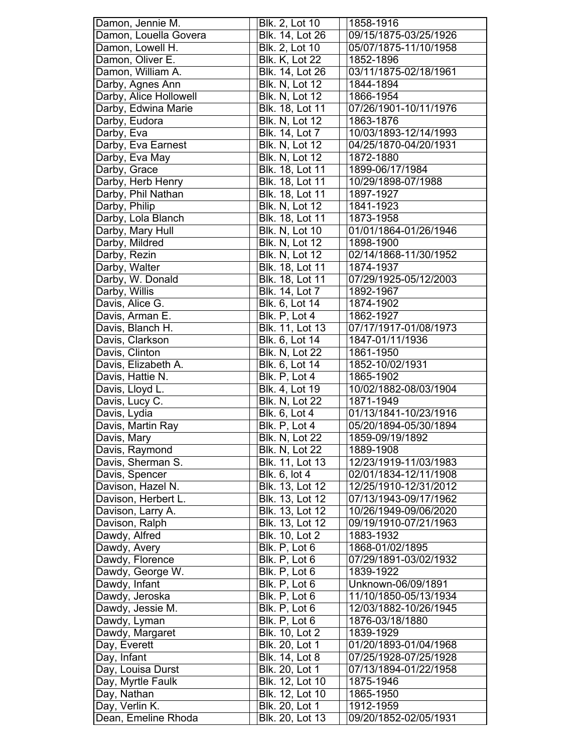| Damon, Jennie M.       | Blk. 2, Lot 10                    | 1858-1916              |
|------------------------|-----------------------------------|------------------------|
| Damon, Louella Govera  | Blk. 14, Lot 26                   | 09/15/1875-03/25/1926  |
| Damon, Lowell H.       | Blk. 2, Lot 10                    | 05/07/1875-11/10/1958  |
| Damon, Oliver E.       | <b>Blk. K, Lot 22</b>             | 1852-1896              |
| Damon, William A.      | Blk. 14, Lot 26                   | 03/11/1875-02/18/1961  |
| Darby, Agnes Ann       | <b>Blk. N, Lot 12</b>             | 1844-1894              |
| Darby, Alice Hollowell | <b>Blk. N, Lot 12</b>             | 1866-1954              |
| Darby, Edwina Marie    | Blk. 18, Lot 11                   | 07/26/1901-10/11/1976  |
| Darby, Eudora          | <b>Blk. N, Lot 12</b>             | 1863-1876              |
| Darby, Eva             | Blk. 14, Lot 7                    | 10/03/1893-12/14/1993  |
| Darby, Eva Earnest     | <b>Blk. N, Lot 12</b>             | 04/25/1870-04/20/1931  |
|                        | <b>Blk. N, Lot 12</b>             | 1872-1880              |
| Darby, Eva May         |                                   |                        |
| Darby, Grace           | Blk. 18, Lot 11                   | 1899-06/17/1984        |
| Darby, Herb Henry      | Blk. 18, Lot 11                   | 10/29/1898-07/1988     |
| Darby, Phil Nathan     | Blk. 18, Lot 11                   | 1897-1927              |
| Darby, Philip          | <b>Blk. N, Lot 12</b>             | 1841-1923              |
| Darby, Lola Blanch     | <b>Blk. 18, Lot 11</b>            | 1873-1958              |
| Darby, Mary Hull       | <b>Blk. N, Lot 10</b>             | 01/01/1864-01/26/1946  |
| Darby, Mildred         | <b>Blk. N, Lot 12</b>             | 1898-1900              |
| Darby, Rezin           | <b>Blk. N, Lot 12</b>             | 02/14/1868-11/30/1952  |
| Darby, Walter          | Blk. 18, Lot 11                   | 1874-1937              |
| Darby, W. Donald       | Blk. 18, Lot 11                   | 07/29/1925-05/12/2003  |
| Darby, Willis          | Blk. 14, Lot 7                    | 1892-1967              |
| Davis, Alice G.        | Blk. 6, Lot 14                    | 1874-1902              |
| Davis, Arman E.        | Blk. P, Lot 4                     | 1862-1927              |
| Davis, Blanch H.       | <b>Blk. 11, Lot 13</b>            | 07/17/1917-01/08/1973  |
| Davis, Clarkson        | Blk. 6, Lot 14                    | 1847-01/11/1936        |
| Davis, Clinton         | <b>Blk. N, Lot 22</b>             | 1861-1950              |
| Davis, Elizabeth A.    | Blk. 6, Lot 14                    | 1852-10/02/1931        |
| Davis, Hattie N.       | Blk. P, Lot 4                     | 1865-1902              |
| Davis, Lloyd L.        | Blk. 4, Lot 19                    | 10/02/1882-08/03/1904  |
| Davis, Lucy C.         | <b>Blk. N, Lot 22</b>             | 1871-1949              |
| Davis, Lydia           | Blk. 6, Lot 4                     | 01/13/1841-10/23/1916  |
| Davis, Martin Ray      | Blk. P, Lot 4                     | 05/20/1894-05/30/1894  |
| Davis, Mary            | <b>Blk. N, Lot 22</b>             | 1859-09/19/1892        |
| Davis, Raymond         | <b>Blk. N, Lot 22</b>             | 1889-1908              |
| Davis, Sherman S.      | Blk. 11, Lot 13                   | 12/23/1919-11/03/1983  |
| Davis, Spencer         | Blk. 6, lot 4                     | 02/01/1834-12/11/1908  |
| Davison, Hazel N.      | Blk. 13, Lot 12                   | 12/25/1910-12/31/2012  |
| Davison, Herbert L.    | Blk. 13, Lot 12                   | 07/13/1943-09/17/1962  |
| Davison, Larry A.      | Blk. 13, Lot 12                   | 10/26/1949-09/06/2020  |
| Davison, Ralph         | Blk. 13, Lot 12                   | 09/19/1910-07/21/1963  |
| Dawdy, Alfred          | Blk. 10, Lot 2                    | 1883-1932              |
| Dawdy, Avery           | Blk. P, Lot 6                     | 1868-01/02/1895        |
| Dawdy, Florence        | Blk. P, Lot 6                     | 07/29/1891-03/02/1932  |
| Dawdy, George W.       | Blk. P, Lot 6                     | 1839-1922              |
| Dawdy, Infant          | Blk. P, Lot 6                     | Unknown-06/09/1891     |
| Dawdy, Jeroska         | Blk. P, Lot 6                     | 11/10/1850-05/13/1934  |
| Dawdy, Jessie M.       | Blk. P, Lot 6                     | 12/03/1882-10/26/1945  |
| Dawdy, Lyman           | Blk. P, Lot 6                     | 1876-03/18/1880        |
| Dawdy, Margaret        | Blk. 10, Lot 2                    | 1839-1929              |
| Day, Everett           | Blk. 20, Lot 1                    | 01/20/1893-01/04/1968  |
| Day, Infant            | Blk. 14, Lot 8                    | 07/25/1928-07/25/1928  |
| Day, Louisa Durst      | Blk. 20, Lot 1                    | 07/13/1894-01/22/1958  |
| Day, Myrtle Faulk      | Blk. 12, Lot 10                   | 1875-1946              |
| Day, Nathan            |                                   |                        |
|                        |                                   |                        |
| Day, Verlin K.         | Blk. 12, Lot 10<br>Blk. 20, Lot 1 | 1865-1950<br>1912-1959 |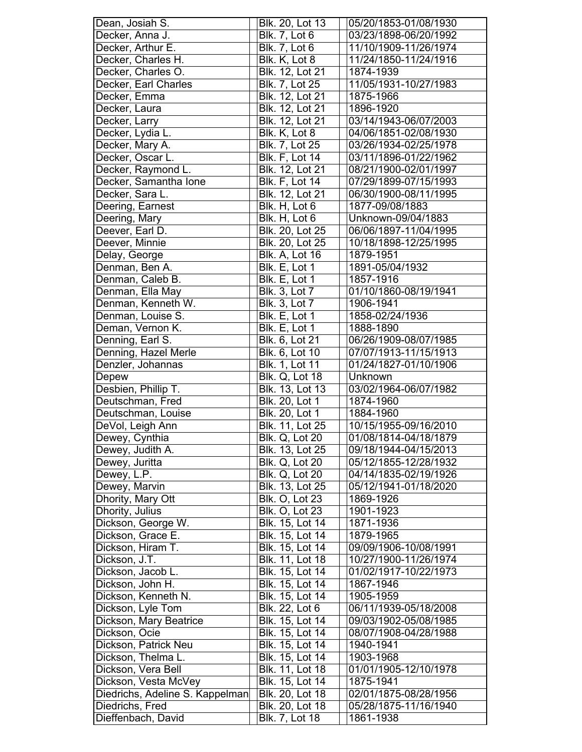| Dean, Josiah S.                 | Blk. 20, Lot 13        | 05/20/1853-01/08/1930 |
|---------------------------------|------------------------|-----------------------|
| Decker, Anna J.                 | <b>Blk. 7, Lot 6</b>   | 03/23/1898-06/20/1992 |
| Decker, Arthur E.               | <b>Blk. 7, Lot 6</b>   | 11/10/1909-11/26/1974 |
| Decker, Charles H.              | Blk. K, Lot 8          | 11/24/1850-11/24/1916 |
| Decker, Charles O.              | Blk. 12, Lot 21        | 1874-1939             |
| Decker, Earl Charles            | Blk. 7, Lot 25         | 11/05/1931-10/27/1983 |
| Decker, Emma                    | Blk. 12, Lot 21        | 1875-1966             |
| Decker, Laura                   | <b>Blk. 12, Lot 21</b> | 1896-1920             |
| Decker, Larry                   | Blk. 12, Lot 21        | 03/14/1943-06/07/2003 |
| Decker, Lydia L.                | Blk. K, Lot 8          | 04/06/1851-02/08/1930 |
| Decker, Mary A.                 | Blk. 7, Lot 25         | 03/26/1934-02/25/1978 |
| Decker, Oscar L.                | Blk. F, Lot 14         | 03/11/1896-01/22/1962 |
| Decker, Raymond L.              | Blk. 12, Lot 21        | 08/21/1900-02/01/1997 |
|                                 | <b>Blk. F, Lot 14</b>  | 07/29/1899-07/15/1993 |
| Decker, Samantha Ione           |                        |                       |
| Decker, Sara L.                 | Blk. 12, Lot 21        | 06/30/1900-08/11/1995 |
| Deering, Earnest                | Blk. H, Lot 6          | 1877-09/08/1883       |
| Deering, Mary                   | Blk. H, Lot 6          | Unknown-09/04/1883    |
| Deever, Earl D.                 | Blk. 20, Lot 25        | 06/06/1897-11/04/1995 |
| Deever, Minnie                  | Blk. 20, Lot 25        | 10/18/1898-12/25/1995 |
| Delay, George                   | <b>Blk. A, Lot 16</b>  | 1879-1951             |
| Denman, Ben A.                  | Blk. E, Lot 1          | 1891-05/04/1932       |
| Denman, Caleb B.                | Blk. E, Lot 1          | 1857-1916             |
| Denman, Ella May                | Blk. 3, Lot 7          | 01/10/1860-08/19/1941 |
| Denman, Kenneth W.              | Blk. 3, Lot 7          | 1906-1941             |
| Denman, Louise S.               | Blk. E, Lot 1          | 1858-02/24/1936       |
| Deman, Vernon K.                | Blk. E, Lot 1          | 1888-1890             |
| Denning, Earl S.                | Blk. 6, Lot 21         | 06/26/1909-08/07/1985 |
| Denning, Hazel Merle            | Blk. 6, Lot 10         | 07/07/1913-11/15/1913 |
| Denzler, Johannas               | Blk. 1, Lot 11         | 01/24/1827-01/10/1906 |
|                                 |                        |                       |
|                                 |                        |                       |
| Depew                           | <b>Blk. Q, Lot 18</b>  | Unknown               |
| Desbien, Phillip T.             | <b>Blk. 13, Lot 13</b> | 03/02/1964-06/07/1982 |
| Deutschman, Fred                | <b>Blk. 20, Lot 1</b>  | 1874-1960             |
| Deutschman, Louise              | Blk. 20, Lot 1         | 1884-1960             |
| DeVol, Leigh Ann                | <b>Blk. 11, Lot 25</b> | 10/15/1955-09/16/2010 |
| Dewey, Cynthia                  | <b>Blk. Q, Lot 20</b>  | 01/08/1814-04/18/1879 |
| Dewey, Judith A.                | Blk. 13, Lot 25        | 09/18/1944-04/15/2013 |
| Dewey, Juritta                  | <b>Blk. Q, Lot 20</b>  | 05/12/1855-12/28/1932 |
| Dewey, L.P.                     | <b>Blk. Q, Lot 20</b>  | 04/14/1835-02/19/1926 |
| Dewey, Marvin                   | Blk. 13, Lot 25        | 05/12/1941-01/18/2020 |
| Dhority, Mary Ott               | <b>Blk. O, Lot 23</b>  | 1869-1926             |
| Dhority, Julius                 | <b>Blk. O, Lot 23</b>  | 1901-1923             |
|                                 | Blk. 15, Lot 14        | 1871-1936             |
| Dickson, George W.              | Blk. 15, Lot 14        | 1879-1965             |
| Dickson, Grace E.               |                        |                       |
| Dickson, Hiram T.               | Blk. 15, Lot 14        | 09/09/1906-10/08/1991 |
| Dickson, J.T.                   | Blk. 11, Lot 18        | 10/27/1900-11/26/1974 |
| Dickson, Jacob L.               | Blk. 15, Lot 14        | 01/02/1917-10/22/1973 |
| Dickson, John H.                | Blk. 15, Lot 14        | 1867-1946             |
| Dickson, Kenneth N.             | Blk. 15, Lot 14        | 1905-1959             |
| Dickson, Lyle Tom               | Blk. 22, Lot 6         | 06/11/1939-05/18/2008 |
| Dickson, Mary Beatrice          | Blk. 15, Lot 14        | 09/03/1902-05/08/1985 |
| Dickson, Ocie                   | Blk. 15, Lot 14        | 08/07/1908-04/28/1988 |
| Dickson, Patrick Neu            | Blk. 15, Lot 14        | 1940-1941             |
| Dickson, Thelma L.              | Blk. 15, Lot 14        | 1903-1968             |
| Dickson, Vera Bell              | Blk. 11, Lot 18        | 01/01/1905-12/10/1978 |
| Dickson, Vesta McVey            | Blk. 15, Lot 14        | 1875-1941             |
| Diedrichs, Adeline S. Kappelman | Blk. 20, Lot 18        | 02/01/1875-08/28/1956 |
| Diedrichs, Fred                 | Blk. 20, Lot 18        | 05/28/1875-11/16/1940 |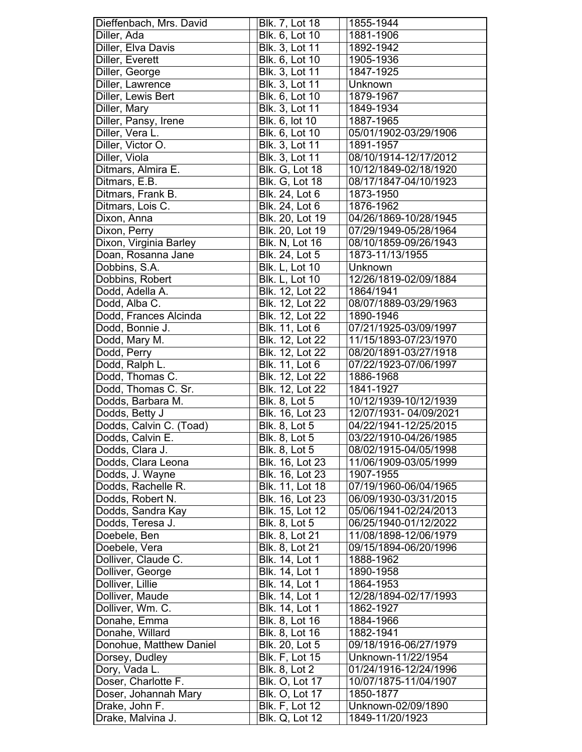| Dieffenbach, Mrs. David | Blk. 7, Lot 18         | 1855-1944             |
|-------------------------|------------------------|-----------------------|
| Diller, Ada             | Blk. 6, Lot 10         | 1881-1906             |
| Diller, Elva Davis      | Blk. 3, Lot 11         | 1892-1942             |
| Diller, Everett         | Blk. 6, Lot 10         | 1905-1936             |
| Diller, George          | <b>Blk. 3, Lot 11</b>  | 1847-1925             |
| Diller, Lawrence        | Blk. 3, Lot 11         | Unknown               |
| Diller, Lewis Bert      | Blk. 6, Lot 10         | 1879-1967             |
| Diller, Mary            | Blk. 3, Lot 11         | 1849-1934             |
| Diller, Pansy, Irene    | Blk. 6, lot 10         | 1887-1965             |
| Diller, Vera L.         | Blk. 6, Lot 10         | 05/01/1902-03/29/1906 |
| Diller, Victor O.       | <b>Blk. 3, Lot 11</b>  | 1891-1957             |
| Diller, Viola           | Blk. 3, Lot 11         | 08/10/1914-12/17/2012 |
| Ditmars, Almira E.      | <b>Blk. G, Lot 18</b>  | 10/12/1849-02/18/1920 |
| Ditmars, E.B.           | <b>Blk. G, Lot 18</b>  | 08/17/1847-04/10/1923 |
| Ditmars, Frank B.       | Blk. 24, Lot 6         | 1873-1950             |
| Ditmars, Lois C.        | Blk. 24, Lot 6         | 1876-1962             |
| Dixon, Anna             | Blk. 20, Lot 19        | 04/26/1869-10/28/1945 |
| Dixon, Perry            | Blk. 20, Lot 19        | 07/29/1949-05/28/1964 |
| Dixon, Virginia Barley  | <b>Blk. N, Lot 16</b>  | 08/10/1859-09/26/1943 |
| Doan, Rosanna Jane      | Blk. 24, Lot 5         | 1873-11/13/1955       |
| Dobbins, S.A.           | <b>Blk. L, Lot 10</b>  | Unknown               |
| Dobbins, Robert         | <b>Blk. L, Lot 10</b>  | 12/26/1819-02/09/1884 |
| Dodd, Adella A.         | Blk. 12, Lot 22        | 1864/1941             |
| Dodd, Alba C.           | Blk. 12, Lot 22        | 08/07/1889-03/29/1963 |
| Dodd, Frances Alcinda   | Blk. 12, Lot 22        | 1890-1946             |
| Dodd, Bonnie J.         | Blk. 11, Lot 6         | 07/21/1925-03/09/1997 |
| Dodd, Mary M.           | Blk. 12, Lot 22        | 11/15/1893-07/23/1970 |
| Dodd, Perry             | Blk. 12, Lot 22        | 08/20/1891-03/27/1918 |
| Dodd, Ralph L.          | <b>Blk.</b> 11, Lot 6  | 07/22/1923-07/06/1997 |
| Dodd, Thomas C.         | Blk. 12, Lot 22        | 1886-1968             |
| Dodd, Thomas C. Sr.     | Blk. 12, Lot 22        | 1841-1927             |
| Dodds, Barbara M.       | <b>Blk. 8, Lot 5</b>   | 10/12/1939-10/12/1939 |
| Dodds, Betty J          | Blk. 16, Lot 23        | 12/07/1931-04/09/2021 |
| Dodds, Calvin C. (Toad) | $B$ lk. 8, Lot 5       | 04/22/1941-12/25/2015 |
| Dodds, Calvin E.        | <b>Blk. 8, Lot 5</b>   | 03/22/1910-04/26/1985 |
| Dodds, Clara J.         | Blk. 8, Lot 5          | 08/02/1915-04/05/1998 |
| Dodds, Clara Leona      | Blk. 16, Lot 23        | 11/06/1909-03/05/1999 |
| Dodds, J. Wayne         | Blk. 16, Lot 23        | 1907-1955             |
| Dodds, Rachelle R.      | <b>Blk. 11, Lot 18</b> | 07/19/1960-06/04/1965 |
| Dodds, Robert N.        | Blk. 16, Lot 23        | 06/09/1930-03/31/2015 |
| Dodds, Sandra Kay       | Blk. 15, Lot 12        | 05/06/1941-02/24/2013 |
| Dodds, Teresa J.        | Blk. 8, Lot 5          | 06/25/1940-01/12/2022 |
| Doebele, Ben            | Blk. 8, Lot 21         | 11/08/1898-12/06/1979 |
| Doebele, Vera           | Blk. 8, Lot 21         | 09/15/1894-06/20/1996 |
| Dolliver, Claude C.     | Blk. 14, Lot 1         | 1888-1962             |
| Dolliver, George        | Blk. 14, Lot 1         | 1890-1958             |
| Dolliver, Lillie        | Blk. 14, Lot 1         | 1864-1953             |
| Dolliver, Maude         | <b>Blk. 14, Lot 1</b>  | 12/28/1894-02/17/1993 |
| Dolliver, Wm. C.        | <b>Blk. 14, Lot 1</b>  | 1862-1927             |
| Donahe, Emma            | Blk. 8, Lot 16         | 1884-1966             |
| Donahe, Willard         | Blk. 8, Lot 16         | 1882-1941             |
| Donohue, Matthew Daniel | Blk. 20, Lot 5         | 09/18/1916-06/27/1979 |
| Dorsey, Dudley          | <b>Blk. F, Lot 15</b>  | Unknown-11/22/1954    |
| Dory, Vada L.           | Blk. 8, Lot 2          | 01/24/1916-12/24/1996 |
| Doser, Charlotte F.     | <b>Blk. O, Lot 17</b>  | 10/07/1875-11/04/1907 |
| Doser, Johannah Mary    | <b>Blk. O, Lot 17</b>  | 1850-1877             |
| Drake, John F.          | <b>Blk. F, Lot 12</b>  | Unknown-02/09/1890    |
| Drake, Malvina J.       | Blk. Q, Lot 12         | 1849-11/20/1923       |
|                         |                        |                       |